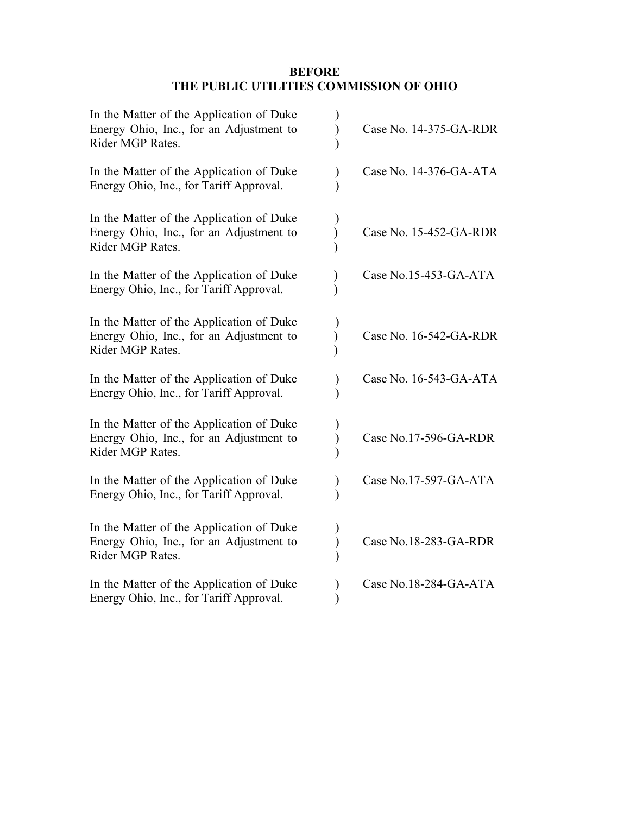## **BEFORE THE PUBLIC UTILITIES COMMISSION OF OHIO**

| In the Matter of the Application of Duke<br>Energy Ohio, Inc., for an Adjustment to<br>Rider MGP Rates. | Case No. 14-375-GA-RDR |
|---------------------------------------------------------------------------------------------------------|------------------------|
| In the Matter of the Application of Duke<br>Energy Ohio, Inc., for Tariff Approval.                     | Case No. 14-376-GA-ATA |
| In the Matter of the Application of Duke<br>Energy Ohio, Inc., for an Adjustment to<br>Rider MGP Rates. | Case No. 15-452-GA-RDR |
| In the Matter of the Application of Duke<br>Energy Ohio, Inc., for Tariff Approval.                     | Case No.15-453-GA-ATA  |
| In the Matter of the Application of Duke<br>Energy Ohio, Inc., for an Adjustment to<br>Rider MGP Rates. | Case No. 16-542-GA-RDR |
| In the Matter of the Application of Duke<br>Energy Ohio, Inc., for Tariff Approval.                     | Case No. 16-543-GA-ATA |
| In the Matter of the Application of Duke<br>Energy Ohio, Inc., for an Adjustment to<br>Rider MGP Rates. | Case No.17-596-GA-RDR  |
| In the Matter of the Application of Duke<br>Energy Ohio, Inc., for Tariff Approval.                     | Case No.17-597-GA-ATA  |
| In the Matter of the Application of Duke<br>Energy Ohio, Inc., for an Adjustment to<br>Rider MGP Rates. | Case No.18-283-GA-RDR  |
| In the Matter of the Application of Duke<br>Energy Ohio, Inc., for Tariff Approval.                     | Case No.18-284-GA-ATA  |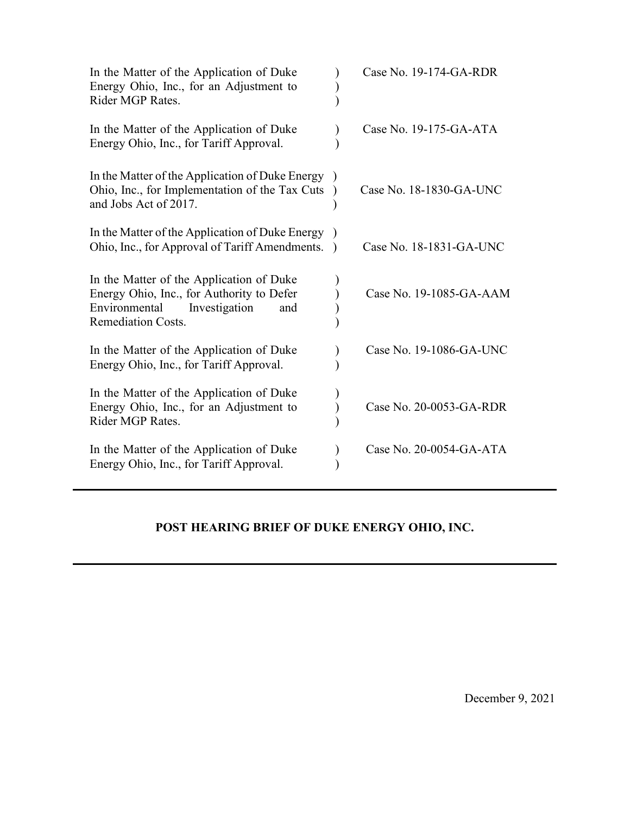| In the Matter of the Application of Duke<br>Energy Ohio, Inc., for an Adjustment to<br>Rider MGP Rates.                                                     | Case No. 19-174-GA-RDR  |
|-------------------------------------------------------------------------------------------------------------------------------------------------------------|-------------------------|
| In the Matter of the Application of Duke<br>Energy Ohio, Inc., for Tariff Approval.                                                                         | Case No. 19-175-GA-ATA  |
| In the Matter of the Application of Duke Energy<br>Ohio, Inc., for Implementation of the Tax Cuts<br>and Jobs Act of 2017.                                  | Case No. 18-1830-GA-UNC |
| In the Matter of the Application of Duke Energy<br>Ohio, Inc., for Approval of Tariff Amendments.                                                           | Case No. 18-1831-GA-UNC |
| In the Matter of the Application of Duke<br>Energy Ohio, Inc., for Authority to Defer<br>Investigation<br>Environmental<br>and<br><b>Remediation Costs.</b> | Case No. 19-1085-GA-AAM |
| In the Matter of the Application of Duke<br>Energy Ohio, Inc., for Tariff Approval.                                                                         | Case No. 19-1086-GA-UNC |
| In the Matter of the Application of Duke<br>Energy Ohio, Inc., for an Adjustment to<br>Rider MGP Rates.                                                     | Case No. 20-0053-GA-RDR |
| In the Matter of the Application of Duke<br>Energy Ohio, Inc., for Tariff Approval.                                                                         | Case No. 20-0054-GA-ATA |

# **POST HEARING BRIEF OF DUKE ENERGY OHIO, INC.**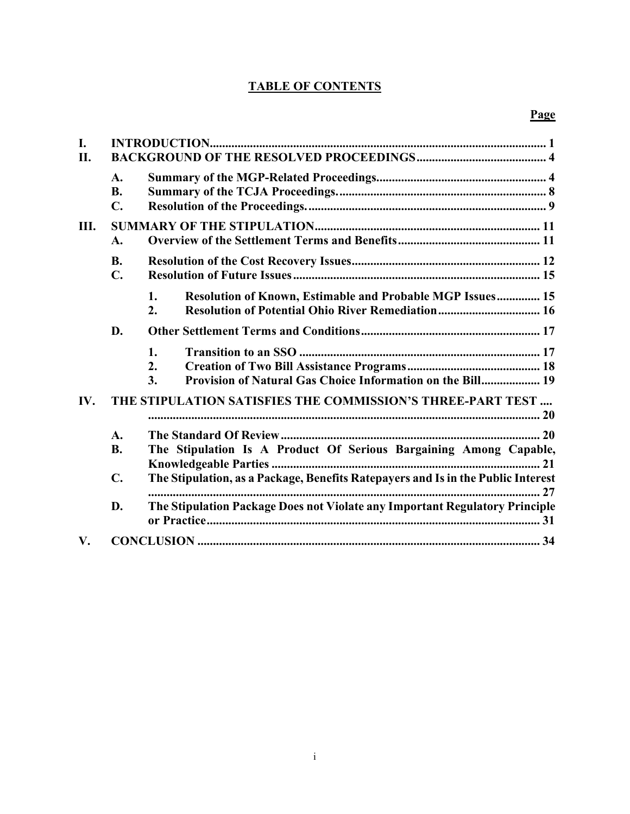## **TABLE OF CONTENTS**

| I.<br>II.     |                            |                                                                                                                                          |
|---------------|----------------------------|------------------------------------------------------------------------------------------------------------------------------------------|
|               | A.<br><b>B.</b><br>C.      |                                                                                                                                          |
| Ш.            | A.                         |                                                                                                                                          |
|               | <b>B.</b><br>$C_{\bullet}$ |                                                                                                                                          |
|               |                            | Resolution of Known, Estimable and Probable MGP Issues 15<br>1.<br>Resolution of Potential Ohio River Remediation 16<br>$\overline{2}$ . |
|               | D.                         |                                                                                                                                          |
|               |                            | 1.<br>2.<br>Provision of Natural Gas Choice Information on the Bill 19<br>3.                                                             |
| IV.           |                            | THE STIPULATION SATISFIES THE COMMISSION'S THREE-PART TEST                                                                               |
|               | A.                         |                                                                                                                                          |
|               | <b>B.</b>                  | The Stipulation Is A Product Of Serious Bargaining Among Capable,                                                                        |
|               | $\mathbf{C}$ .             | The Stipulation, as a Package, Benefits Ratepayers and Is in the Public Interest                                                         |
|               | D.                         | The Stipulation Package Does not Violate any Important Regulatory Principle                                                              |
| $V_{\bullet}$ |                            |                                                                                                                                          |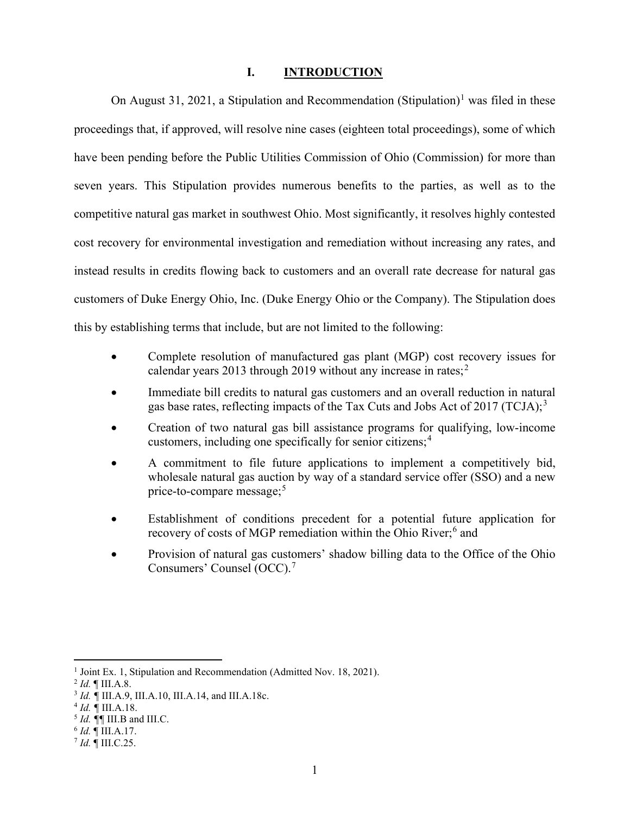#### <span id="page-3-0"></span>**I. INTRODUCTION**

On August 3[1](#page-3-1), 2021, a Stipulation and Recommendation (Stipulation)<sup>1</sup> was filed in these proceedings that, if approved, will resolve nine cases (eighteen total proceedings), some of which have been pending before the Public Utilities Commission of Ohio (Commission) for more than seven years. This Stipulation provides numerous benefits to the parties, as well as to the competitive natural gas market in southwest Ohio. Most significantly, it resolves highly contested cost recovery for environmental investigation and remediation without increasing any rates, and instead results in credits flowing back to customers and an overall rate decrease for natural gas customers of Duke Energy Ohio, Inc. (Duke Energy Ohio or the Company). The Stipulation does this by establishing terms that include, but are not limited to the following:

- Complete resolution of manufactured gas plant (MGP) cost recovery issues for calendar years [2](#page-3-2)013 through 2019 without any increase in rates;<sup>2</sup>
- Immediate bill credits to natural gas customers and an overall reduction in natural gas base rates, reflecting impacts of the Tax Cuts and Jobs Act of 2017 (TCJA);<sup>[3](#page-3-3)</sup>
- Creation of two natural gas bill assistance programs for qualifying, low-income customers, including one specifically for senior citizens; [4](#page-3-4)
- A commitment to file future applications to implement a competitively bid, wholesale natural gas auction by way of a standard service offer (SSO) and a new price-to-compare message; $5$
- Establishment of conditions precedent for a potential future application for recovery of costs of MGP remediation within the Ohio River;<sup>[6](#page-3-6)</sup> and
- Provision of natural gas customers' shadow billing data to the Office of the Ohio Consumers' Counsel (OCC). [7](#page-3-7)

<span id="page-3-1"></span><sup>&</sup>lt;sup>1</sup> Joint Ex. 1, Stipulation and Recommendation (Admitted Nov. 18, 2021).

<span id="page-3-2"></span><sup>2</sup> *Id.* ¶ III.A.8.

<span id="page-3-3"></span><sup>3</sup> *Id. ¶* III.A.9, III.A.10, III.A.14, and III.A.18c.

<span id="page-3-4"></span><sup>4</sup> *Id. ¶* III.A.18.

<span id="page-3-5"></span><sup>5</sup> *Id. ¶¶* III.B and III.C. 6 *Id.* ¶ III.A.17.

<span id="page-3-6"></span>

<span id="page-3-7"></span> $^7$  *Id.*  $\overline{$  III.C.25.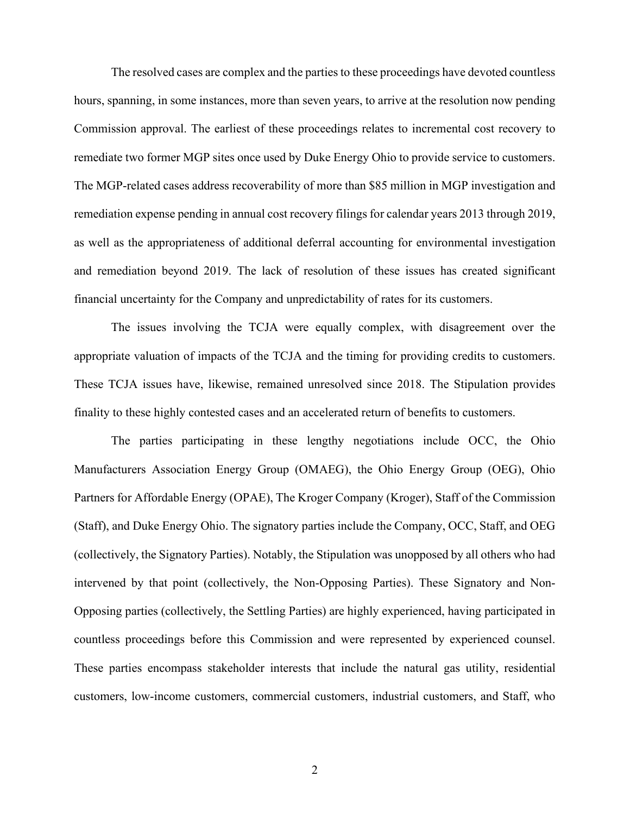The resolved cases are complex and the parties to these proceedings have devoted countless hours, spanning, in some instances, more than seven years, to arrive at the resolution now pending Commission approval. The earliest of these proceedings relates to incremental cost recovery to remediate two former MGP sites once used by Duke Energy Ohio to provide service to customers. The MGP-related cases address recoverability of more than \$85 million in MGP investigation and remediation expense pending in annual cost recovery filings for calendar years 2013 through 2019, as well as the appropriateness of additional deferral accounting for environmental investigation and remediation beyond 2019. The lack of resolution of these issues has created significant financial uncertainty for the Company and unpredictability of rates for its customers.

The issues involving the TCJA were equally complex, with disagreement over the appropriate valuation of impacts of the TCJA and the timing for providing credits to customers. These TCJA issues have, likewise, remained unresolved since 2018. The Stipulation provides finality to these highly contested cases and an accelerated return of benefits to customers.

The parties participating in these lengthy negotiations include OCC, the Ohio Manufacturers Association Energy Group (OMAEG), the Ohio Energy Group (OEG), Ohio Partners for Affordable Energy (OPAE), The Kroger Company (Kroger), Staff of the Commission (Staff), and Duke Energy Ohio. The signatory parties include the Company, OCC, Staff, and OEG (collectively, the Signatory Parties). Notably, the Stipulation was unopposed by all others who had intervened by that point (collectively, the Non-Opposing Parties). These Signatory and Non-Opposing parties (collectively, the Settling Parties) are highly experienced, having participated in countless proceedings before this Commission and were represented by experienced counsel. These parties encompass stakeholder interests that include the natural gas utility, residential customers, low-income customers, commercial customers, industrial customers, and Staff, who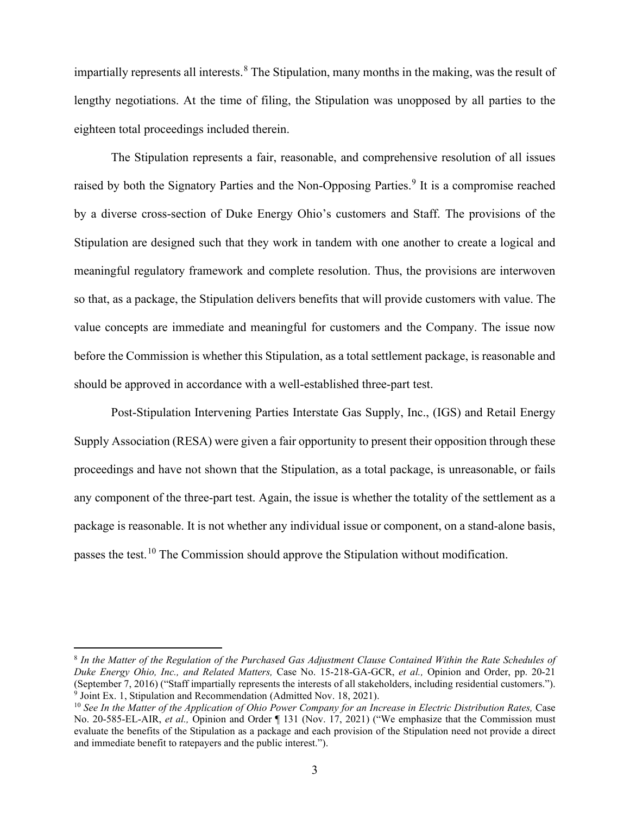impartially represents all interests.<sup>[8](#page-5-0)</sup> The Stipulation, many months in the making, was the result of lengthy negotiations. At the time of filing, the Stipulation was unopposed by all parties to the eighteen total proceedings included therein.

The Stipulation represents a fair, reasonable, and comprehensive resolution of all issues raised by both the Signatory Parties and the Non-Opposing Parties.<sup>[9](#page-5-1)</sup> It is a compromise reached by a diverse cross-section of Duke Energy Ohio's customers and Staff. The provisions of the Stipulation are designed such that they work in tandem with one another to create a logical and meaningful regulatory framework and complete resolution. Thus, the provisions are interwoven so that, as a package, the Stipulation delivers benefits that will provide customers with value. The value concepts are immediate and meaningful for customers and the Company. The issue now before the Commission is whether this Stipulation, as a total settlement package, is reasonable and should be approved in accordance with a well-established three-part test.

Post-Stipulation Intervening Parties Interstate Gas Supply, Inc., (IGS) and Retail Energy Supply Association (RESA) were given a fair opportunity to present their opposition through these proceedings and have not shown that the Stipulation, as a total package, is unreasonable, or fails any component of the three-part test. Again, the issue is whether the totality of the settlement as a package is reasonable. It is not whether any individual issue or component, on a stand-alone basis, passes the test.[10](#page-5-2) The Commission should approve the Stipulation without modification.

<span id="page-5-0"></span><sup>8</sup> *In the Matter of the Regulation of the Purchased Gas Adjustment Clause Contained Within the Rate Schedules of Duke Energy Ohio, Inc., and Related Matters,* Case No. 15-218-GA-GCR, *et al.,* Opinion and Order, pp. 20-21 (September 7, 2016) ("Staff impartially represents the interests of all stakeholders, including residential customers."). 9 Joint Ex. 1, Stipulation and Recommendation (Admitted Nov. 18, 2021).

<span id="page-5-2"></span><span id="page-5-1"></span><sup>10</sup> *See In the Matter of the Application of Ohio Power Company for an Increase in Electric Distribution Rates,* Case No. 20-585-EL-AIR, *et al.,* Opinion and Order ¶ 131 (Nov. 17, 2021) ("We emphasize that the Commission must evaluate the benefits of the Stipulation as a package and each provision of the Stipulation need not provide a direct and immediate benefit to ratepayers and the public interest.").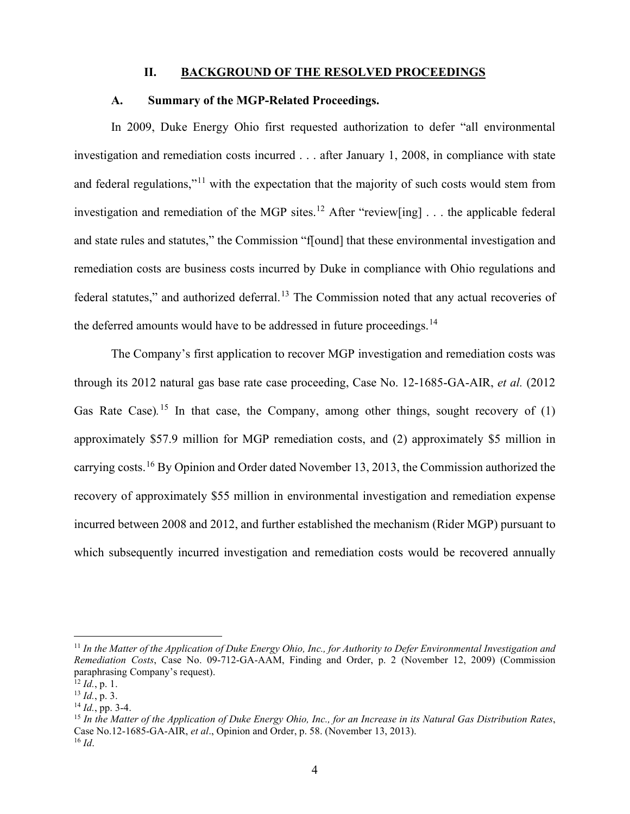#### <span id="page-6-1"></span><span id="page-6-0"></span>**II. BACKGROUND OF THE RESOLVED PROCEEDINGS**

#### **A. Summary of the MGP-Related Proceedings.**

In 2009, Duke Energy Ohio first requested authorization to defer "all environmental investigation and remediation costs incurred . . . after January 1, 2008, in compliance with state and federal regulations,"[11](#page-6-2) with the expectation that the majority of such costs would stem from investigation and remediation of the MGP sites.<sup>[12](#page-6-3)</sup> After "review[ing]  $\ldots$  the applicable federal and state rules and statutes," the Commission "f[ound] that these environmental investigation and remediation costs are business costs incurred by Duke in compliance with Ohio regulations and federal statutes," and authorized deferral.<sup>[13](#page-6-4)</sup> The Commission noted that any actual recoveries of the deferred amounts would have to be addressed in future proceedings.<sup>[14](#page-6-5)</sup>

The Company's first application to recover MGP investigation and remediation costs was through its 2012 natural gas base rate case proceeding, Case No. 12-1685-GA-AIR, *et al.* (2012 Gas Rate Case).<sup>[15](#page-6-6)</sup> In that case, the Company, among other things, sought recovery of (1) approximately \$57.9 million for MGP remediation costs, and (2) approximately \$5 million in carrying costs.<sup>[16](#page-6-7)</sup> By Opinion and Order dated November 13, 2013, the Commission authorized the recovery of approximately \$55 million in environmental investigation and remediation expense incurred between 2008 and 2012, and further established the mechanism (Rider MGP) pursuant to which subsequently incurred investigation and remediation costs would be recovered annually

<span id="page-6-2"></span><sup>11</sup> *In the Matter of the Application of Duke Energy Ohio, Inc., for Authority to Defer Environmental Investigation and Remediation Costs*, Case No. 09-712-GA-AAM, Finding and Order, p. 2 (November 12, 2009) (Commission paraphrasing Company's request).

<span id="page-6-3"></span> $\overline{12} \overline{Id}$ , p. 1.

<span id="page-6-4"></span><sup>13</sup> *Id.*, p. 3.

<span id="page-6-5"></span><sup>14</sup> *Id.*, pp. 3-4.

<span id="page-6-7"></span><span id="page-6-6"></span><sup>15</sup> *In the Matter of the Application of Duke Energy Ohio, Inc., for an Increase in its Natural Gas Distribution Rates*, Case No.12-1685-GA-AIR, *et al*., Opinion and Order, p. 58. (November 13, 2013).  $^{16}$  *Id.*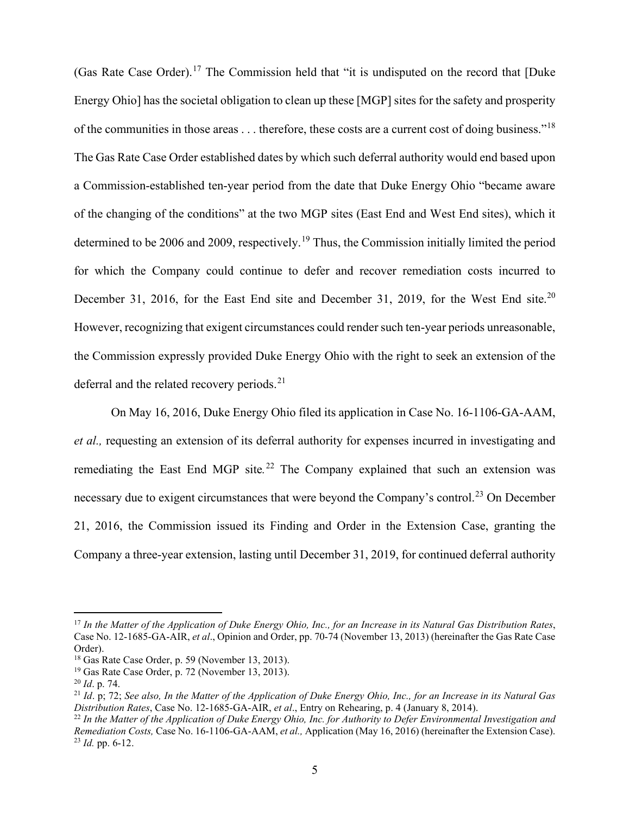(Gas Rate Case Order).<sup>[17](#page-7-0)</sup> The Commission held that "it is undisputed on the record that [Duke Energy Ohio] has the societal obligation to clean up these [MGP] sites for the safety and prosperity of the communities in those areas . . . therefore, these costs are a current cost of doing business."[18](#page-7-1) The Gas Rate Case Order established dates by which such deferral authority would end based upon a Commission-established ten-year period from the date that Duke Energy Ohio "became aware of the changing of the conditions" at the two MGP sites (East End and West End sites), which it determined to be 2006 and 2009, respectively.<sup>[19](#page-7-2)</sup> Thus, the Commission initially limited the period for which the Company could continue to defer and recover remediation costs incurred to December 31, [20](#page-7-3)16, for the East End site and December 31, 2019, for the West End site.<sup>20</sup> However, recognizing that exigent circumstances could render such ten-year periods unreasonable, the Commission expressly provided Duke Energy Ohio with the right to seek an extension of the deferral and the related recovery periods.<sup>[21](#page-7-4)</sup>

On May 16, 2016, Duke Energy Ohio filed its application in Case No. 16-1106-GA-AAM, *et al.,* requesting an extension of its deferral authority for expenses incurred in investigating and remediating the East End MGP site*.* [22](#page-7-5) The Company explained that such an extension was necessary due to exigent circumstances that were beyond the Company's control.<sup>[23](#page-7-6)</sup> On December 21, 2016, the Commission issued its Finding and Order in the Extension Case, granting the Company a three-year extension, lasting until December 31, 2019, for continued deferral authority

<span id="page-7-0"></span><sup>17</sup> *In the Matter of the Application of Duke Energy Ohio, Inc., for an Increase in its Natural Gas Distribution Rates*, Case No. 12-1685-GA-AIR, *et al*., Opinion and Order, pp. 70-74 (November 13, 2013) (hereinafter the Gas Rate Case Order).

<span id="page-7-1"></span><sup>18</sup> Gas Rate Case Order, p. 59 (November 13, 2013).

<span id="page-7-2"></span><sup>19</sup> Gas Rate Case Order, p. 72 (November 13, 2013).

<span id="page-7-3"></span><sup>20</sup> *Id*. p. 74.

<span id="page-7-4"></span><sup>21</sup> *Id*. p; 72; *See also, In the Matter of the Application of Duke Energy Ohio, Inc., for an Increase in its Natural Gas Distribution Rates*, Case No. 12-1685-GA-AIR, *et al*., Entry on Rehearing, p. 4 (January 8, 2014).

<span id="page-7-6"></span><span id="page-7-5"></span><sup>22</sup> *In the Matter of the Application of Duke Energy Ohio, Inc. for Authority to Defer Environmental Investigation and Remediation Costs,* Case No. 16-1106-GA-AAM, *et al.,* Application (May 16, 2016) (hereinafter the Extension Case). <sup>23</sup> *Id.* pp. 6-12.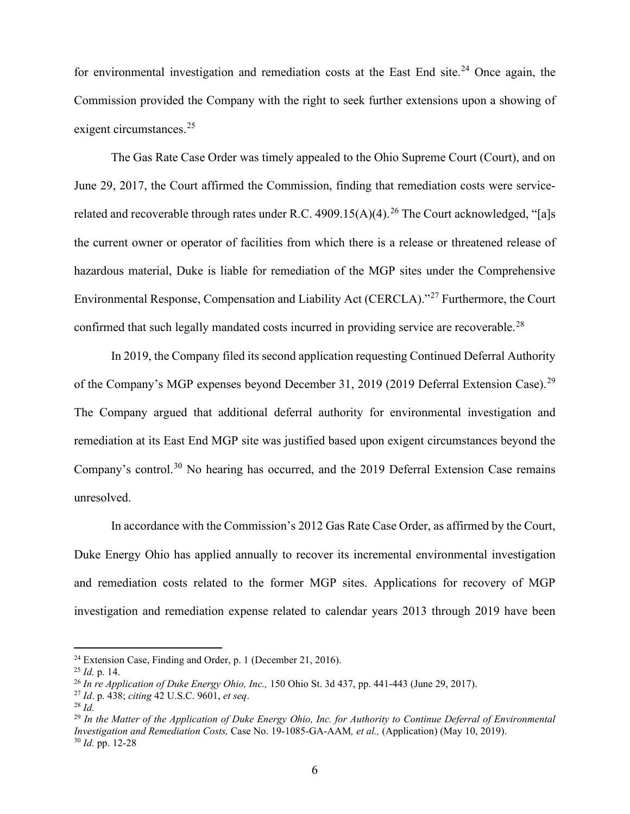for environmental investigation and remediation costs at the East End site.<sup>[24](#page-8-0)</sup> Once again, the Commission provided the Company with the right to seek further extensions upon a showing of exigent circumstances.<sup>[25](#page-8-1)</sup>

The Gas Rate Case Order was timely appealed to the Ohio Supreme Court (Court), and on June 29, 2017, the Court affirmed the Commission, finding that remediation costs were service-related and recoverable through rates under R.C. 4909.15(A)(4).<sup>[26](#page-8-2)</sup> The Court acknowledged, "[a]s the current owner or operator of facilities from which there is a release or threatened release of hazardous material, Duke is liable for remediation of the MGP sites under the Comprehensive Environmental Response, Compensation and Liability Act (CERCLA)."<sup>[27](#page-8-3)</sup> Furthermore, the Court confirmed that such legally mandated costs incurred in providing service are recoverable.<sup>[28](#page-8-4)</sup>

In 2019, the Company filed its second application requesting Continued Deferral Authority of the Company's MGP expenses beyond December 31, 2019 (2019 Deferral Extension Case).<sup>[29](#page-8-5)</sup> The Company argued that additional deferral authority for environmental investigation and remediation at its East End MGP site was justified based upon exigent circumstances beyond the Company's control.<sup>[30](#page-8-6)</sup> No hearing has occurred, and the 2019 Deferral Extension Case remains unresolved.

In accordance with the Commission's 2012 Gas Rate Case Order, as affirmed by the Court, Duke Energy Ohio has applied annually to recover its incremental environmental investigation and remediation costs related to the former MGP sites. Applications for recovery of MGP investigation and remediation expense related to calendar years 2013 through 2019 have been

<span id="page-8-0"></span><sup>24</sup> Extension Case, Finding and Order, p. 1 (December 21, 2016).

<span id="page-8-1"></span><sup>25</sup> *Id.* p. 14.

<span id="page-8-2"></span><sup>26</sup> *In re Application of Duke Energy Ohio, Inc.,* 150 Ohio St. 3d 437, pp. 441-443 (June 29, 2017).

<span id="page-8-3"></span><sup>27</sup> *Id*. p. 438; *citing* 42 U.S.C. 9601, *et seq*.

<span id="page-8-4"></span><sup>28</sup> *Id.*

<span id="page-8-6"></span><span id="page-8-5"></span><sup>29</sup> *In the Matter of the Application of Duke Energy Ohio, Inc. for Authority to Continue Deferral of Environmental Investigation and Remediation Costs,* Case No. 19-1085-GA-AAM*, et al.,* (Application) (May 10, 2019). <sup>30</sup> *Id.* pp. 12-28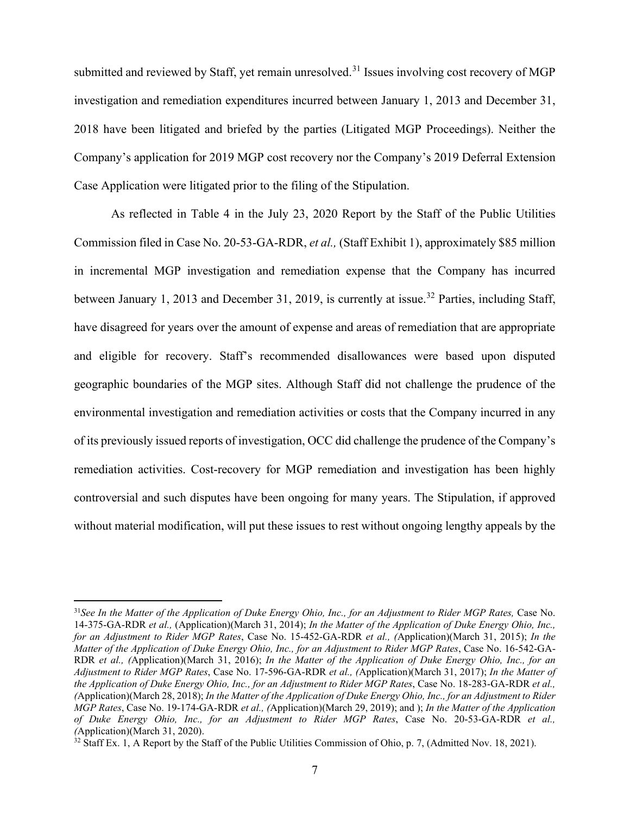submitted and reviewed by Staff, yet remain unresolved.<sup>[31](#page-9-0)</sup> Issues involving cost recovery of MGP investigation and remediation expenditures incurred between January 1, 2013 and December 31, 2018 have been litigated and briefed by the parties (Litigated MGP Proceedings). Neither the Company's application for 2019 MGP cost recovery nor the Company's 2019 Deferral Extension Case Application were litigated prior to the filing of the Stipulation.

As reflected in Table 4 in the July 23, 2020 Report by the Staff of the Public Utilities Commission filed in Case No. 20-53-GA-RDR, *et al.,* (Staff Exhibit 1), approximately \$85 million in incremental MGP investigation and remediation expense that the Company has incurred between January 1, 2013 and December 31, 2019, is currently at issue.<sup>[32](#page-9-1)</sup> Parties, including Staff, have disagreed for years over the amount of expense and areas of remediation that are appropriate and eligible for recovery. Staff's recommended disallowances were based upon disputed geographic boundaries of the MGP sites. Although Staff did not challenge the prudence of the environmental investigation and remediation activities or costs that the Company incurred in any of its previously issued reports of investigation, OCC did challenge the prudence of the Company's remediation activities. Cost-recovery for MGP remediation and investigation has been highly controversial and such disputes have been ongoing for many years. The Stipulation, if approved without material modification, will put these issues to rest without ongoing lengthy appeals by the

<span id="page-9-0"></span><sup>31</sup>*See In the Matter of the Application of Duke Energy Ohio, Inc., for an Adjustment to Rider MGP Rates,* Case No. 14-375-GA-RDR *et al.,* (Application)(March 31, 2014); *In the Matter of the Application of Duke Energy Ohio, Inc., for an Adjustment to Rider MGP Rates*, Case No. 15-452-GA-RDR *et al., (*Application)(March 31, 2015); *In the Matter of the Application of Duke Energy Ohio, Inc., for an Adjustment to Rider MGP Rates*, Case No. 16-542-GA-RDR *et al., (*Application)(March 31, 2016); *In the Matter of the Application of Duke Energy Ohio, Inc., for an Adjustment to Rider MGP Rates*, Case No. 17-596-GA-RDR *et al., (*Application)(March 31, 2017); *In the Matter of the Application of Duke Energy Ohio, Inc., for an Adjustment to Rider MGP Rates*, Case No. 18-283-GA-RDR *et al., (*Application)(March 28, 2018); *In the Matter of the Application of Duke Energy Ohio, Inc., for an Adjustment to Rider MGP Rates*, Case No. 19-174-GA-RDR *et al., (*Application)(March 29, 2019); and ); *In the Matter of the Application of Duke Energy Ohio, Inc., for an Adjustment to Rider MGP Rates*, Case No. 20-53-GA-RDR *et al., (*Application)(March 31, 2020).

<span id="page-9-1"></span> $32$  Staff Ex. 1, A Report by the Staff of the Public Utilities Commission of Ohio, p. 7, (Admitted Nov. 18, 2021).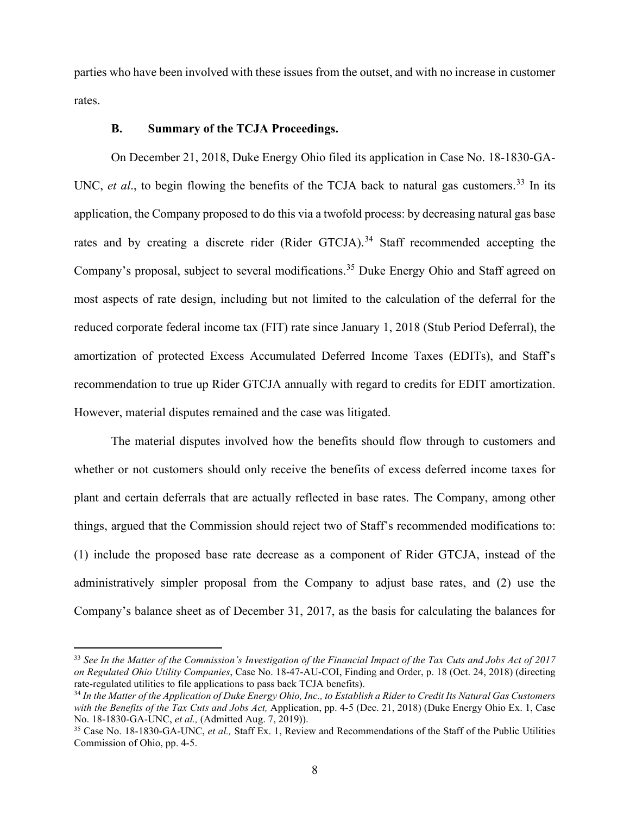parties who have been involved with these issues from the outset, and with no increase in customer rates.

#### <span id="page-10-0"></span>**B. Summary of the TCJA Proceedings.**

On December 21, 2018, Duke Energy Ohio filed its application in Case No. 18-1830-GA-UNC, et al., to begin flowing the benefits of the TCJA back to natural gas customers.<sup>[33](#page-10-1)</sup> In its application, the Company proposed to do this via a twofold process: by decreasing natural gas base rates and by creating a discrete rider (Rider GTCJA).<sup>[34](#page-10-2)</sup> Staff recommended accepting the Company's proposal, subject to several modifications.<sup>[35](#page-10-3)</sup> Duke Energy Ohio and Staff agreed on most aspects of rate design, including but not limited to the calculation of the deferral for the reduced corporate federal income tax (FIT) rate since January 1, 2018 (Stub Period Deferral), the amortization of protected Excess Accumulated Deferred Income Taxes (EDITs), and Staff's recommendation to true up Rider GTCJA annually with regard to credits for EDIT amortization. However, material disputes remained and the case was litigated.

The material disputes involved how the benefits should flow through to customers and whether or not customers should only receive the benefits of excess deferred income taxes for plant and certain deferrals that are actually reflected in base rates. The Company, among other things, argued that the Commission should reject two of Staff's recommended modifications to: (1) include the proposed base rate decrease as a component of Rider GTCJA, instead of the administratively simpler proposal from the Company to adjust base rates, and (2) use the Company's balance sheet as of December 31, 2017, as the basis for calculating the balances for

<span id="page-10-1"></span><sup>33</sup> *See In the Matter of the Commission's Investigation of the Financial Impact of the Tax Cuts and Jobs Act of 2017 on Regulated Ohio Utility Companies*, Case No. 18-47-AU-COI, Finding and Order, p. 18 (Oct. 24, 2018) (directing

<span id="page-10-2"></span><sup>&</sup>lt;sup>34</sup> In the Matter of the Application of Duke Energy Ohio, Inc., to Establish a Rider to Credit Its Natural Gas Customers *with the Benefits of the Tax Cuts and Jobs Act,* Application, pp. 4-5 (Dec. 21, 2018) (Duke Energy Ohio Ex. 1, Case No. 18-1830-GA-UNC, *et al.,* (Admitted Aug. 7, 2019)).

<span id="page-10-3"></span><sup>35</sup> Case No. 18-1830-GA-UNC, *et al.,* Staff Ex. 1, Review and Recommendations of the Staff of the Public Utilities Commission of Ohio, pp. 4-5.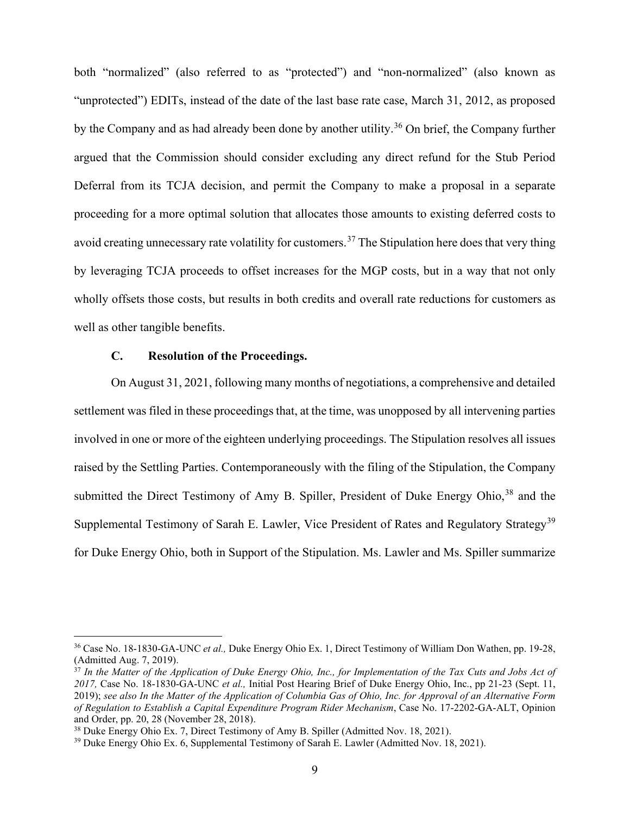both "normalized" (also referred to as "protected") and "non-normalized" (also known as "unprotected") EDITs, instead of the date of the last base rate case, March 31, 2012, as proposed by the Company and as had already been done by another utility. [36](#page-11-1) On brief, the Company further argued that the Commission should consider excluding any direct refund for the Stub Period Deferral from its TCJA decision, and permit the Company to make a proposal in a separate proceeding for a more optimal solution that allocates those amounts to existing deferred costs to avoid creating unnecessary rate volatility for customers.<sup>[37](#page-11-2)</sup> The Stipulation here does that very thing by leveraging TCJA proceeds to offset increases for the MGP costs, but in a way that not only wholly offsets those costs, but results in both credits and overall rate reductions for customers as well as other tangible benefits.

## <span id="page-11-0"></span>**C. Resolution of the Proceedings.**

On August 31, 2021, following many months of negotiations, a comprehensive and detailed settlement was filed in these proceedings that, at the time, was unopposed by all intervening parties involved in one or more of the eighteen underlying proceedings. The Stipulation resolves all issues raised by the Settling Parties. Contemporaneously with the filing of the Stipulation, the Company submitted the Direct Testimony of Amy B. Spiller, President of Duke Energy Ohio,<sup>[38](#page-11-3)</sup> and the Supplemental Testimony of Sarah E. Lawler, Vice President of Rates and Regulatory Strategy<sup>[39](#page-11-4)</sup> for Duke Energy Ohio, both in Support of the Stipulation. Ms. Lawler and Ms. Spiller summarize

<span id="page-11-1"></span><sup>36</sup> Case No. 18-1830-GA-UNC *et al.,* Duke Energy Ohio Ex. 1, Direct Testimony of William Don Wathen, pp. 19-28, (Admitted Aug. 7, 2019).

<span id="page-11-2"></span><sup>37</sup> *In the Matter of the Application of Duke Energy Ohio, Inc., for Implementation of the Tax Cuts and Jobs Act of 2017,* Case No. 18-1830-GA-UNC *et al.,* Initial Post Hearing Brief of Duke Energy Ohio, Inc., pp 21-23 (Sept. 11, 2019); *see also In the Matter of the Application of Columbia Gas of Ohio, Inc. for Approval of an Alternative Form of Regulation to Establish a Capital Expenditure Program Rider Mechanism*, Case No. 17-2202-GA-ALT, Opinion and Order, pp. 20, 28 (November 28, 2018).

<span id="page-11-3"></span><sup>38</sup> Duke Energy Ohio Ex. 7, Direct Testimony of Amy B. Spiller (Admitted Nov. 18, 2021).

<span id="page-11-4"></span><sup>39</sup> Duke Energy Ohio Ex. 6, Supplemental Testimony of Sarah E. Lawler (Admitted Nov. 18, 2021).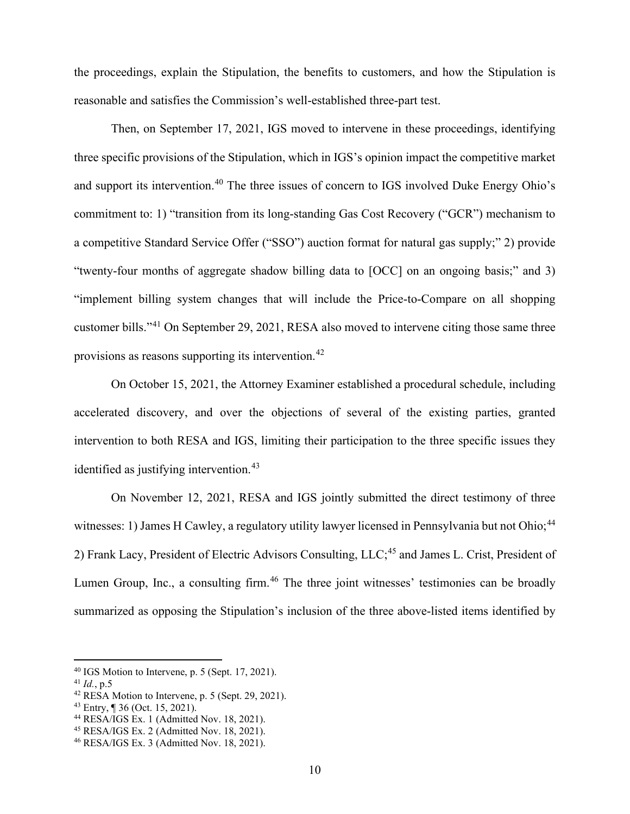the proceedings, explain the Stipulation, the benefits to customers, and how the Stipulation is reasonable and satisfies the Commission's well-established three-part test.

Then, on September 17, 2021, IGS moved to intervene in these proceedings, identifying three specific provisions of the Stipulation, which in IGS's opinion impact the competitive market and support its intervention.<sup>[40](#page-12-0)</sup> The three issues of concern to IGS involved Duke Energy Ohio's commitment to: 1) "transition from its long-standing Gas Cost Recovery ("GCR") mechanism to a competitive Standard Service Offer ("SSO") auction format for natural gas supply;" 2) provide "twenty-four months of aggregate shadow billing data to [OCC] on an ongoing basis;" and 3) "implement billing system changes that will include the Price-to-Compare on all shopping customer bills."[41](#page-12-1) On September 29, 2021, RESA also moved to intervene citing those same three provisions as reasons supporting its intervention.[42](#page-12-2)

On October 15, 2021, the Attorney Examiner established a procedural schedule, including accelerated discovery, and over the objections of several of the existing parties, granted intervention to both RESA and IGS, limiting their participation to the three specific issues they identified as justifying intervention.<sup>[43](#page-12-3)</sup>

On November 12, 2021, RESA and IGS jointly submitted the direct testimony of three witnesses: 1) James H Cawley, a regulatory utility lawyer licensed in Pennsylvania but not Ohio;<sup>[44](#page-12-4)</sup> 2) Frank Lacy, President of Electric Advisors Consulting, LLC;<sup>[45](#page-12-5)</sup> and James L. Crist, President of Lumen Group, Inc., a consulting firm.<sup>[46](#page-12-6)</sup> The three joint witnesses' testimonies can be broadly summarized as opposing the Stipulation's inclusion of the three above-listed items identified by

<span id="page-12-0"></span> $40$  IGS Motion to Intervene, p. 5 (Sept. 17, 2021).

<span id="page-12-1"></span><sup>41</sup> *Id.*, p.5

<span id="page-12-2"></span><sup>42</sup> RESA Motion to Intervene, p. 5 (Sept. 29, 2021).

<span id="page-12-3"></span><sup>43</sup> Entry, ¶ 36 (Oct. 15, 2021).

<span id="page-12-4"></span><sup>44</sup> RESA/IGS Ex. 1 (Admitted Nov. 18, 2021).

<span id="page-12-5"></span><sup>45</sup> RESA/IGS Ex. 2 (Admitted Nov. 18, 2021).

<span id="page-12-6"></span><sup>46</sup> RESA/IGS Ex. 3 (Admitted Nov. 18, 2021).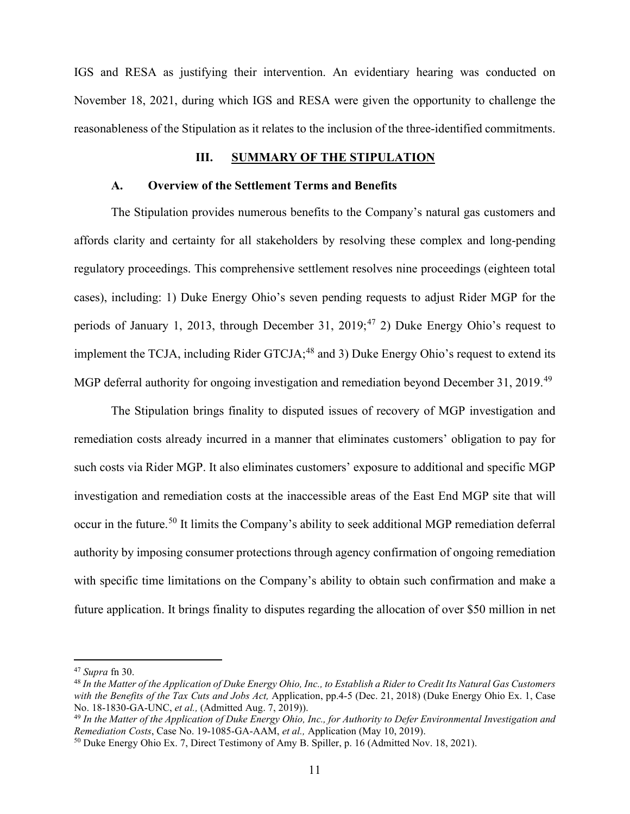IGS and RESA as justifying their intervention. An evidentiary hearing was conducted on November 18, 2021, during which IGS and RESA were given the opportunity to challenge the reasonableness of the Stipulation as it relates to the inclusion of the three-identified commitments.

#### <span id="page-13-1"></span><span id="page-13-0"></span>**III. SUMMARY OF THE STIPULATION**

#### **A. Overview of the Settlement Terms and Benefits**

The Stipulation provides numerous benefits to the Company's natural gas customers and affords clarity and certainty for all stakeholders by resolving these complex and long-pending regulatory proceedings. This comprehensive settlement resolves nine proceedings (eighteen total cases), including: 1) Duke Energy Ohio's seven pending requests to adjust Rider MGP for the periods of January 1, 2013, through December 31, 2019;<sup>[47](#page-13-2)</sup> 2) Duke Energy Ohio's request to implement the TCJA, including Rider  $GTCJA$ ;<sup>[48](#page-13-3)</sup> and 3) Duke Energy Ohio's request to extend its MGP deferral authority for ongoing investigation and remediation beyond December 31, 2019.<sup>[49](#page-13-4)</sup>

The Stipulation brings finality to disputed issues of recovery of MGP investigation and remediation costs already incurred in a manner that eliminates customers' obligation to pay for such costs via Rider MGP. It also eliminates customers' exposure to additional and specific MGP investigation and remediation costs at the inaccessible areas of the East End MGP site that will occur in the future.<sup>[50](#page-13-5)</sup> It limits the Company's ability to seek additional MGP remediation deferral authority by imposing consumer protections through agency confirmation of ongoing remediation with specific time limitations on the Company's ability to obtain such confirmation and make a future application. It brings finality to disputes regarding the allocation of over \$50 million in net

<span id="page-13-2"></span><sup>47</sup> *Supra* fn 30.

<span id="page-13-3"></span><sup>48</sup> *In the Matter of the Application of Duke Energy Ohio, Inc., to Establish a Rider to Credit Its Natural Gas Customers with the Benefits of the Tax Cuts and Jobs Act,* Application, pp.4-5 (Dec. 21, 2018) (Duke Energy Ohio Ex. 1, Case No. 18-1830-GA-UNC, *et al.,* (Admitted Aug. 7, 2019)).

<span id="page-13-4"></span><sup>49</sup> *In the Matter of the Application of Duke Energy Ohio, Inc., for Authority to Defer Environmental Investigation and Remediation Costs*, Case No. 19-1085-GA-AAM, *et al.,* Application (May 10, 2019).

<span id="page-13-5"></span><sup>50</sup> Duke Energy Ohio Ex. 7, Direct Testimony of Amy B. Spiller, p. 16 (Admitted Nov. 18, 2021).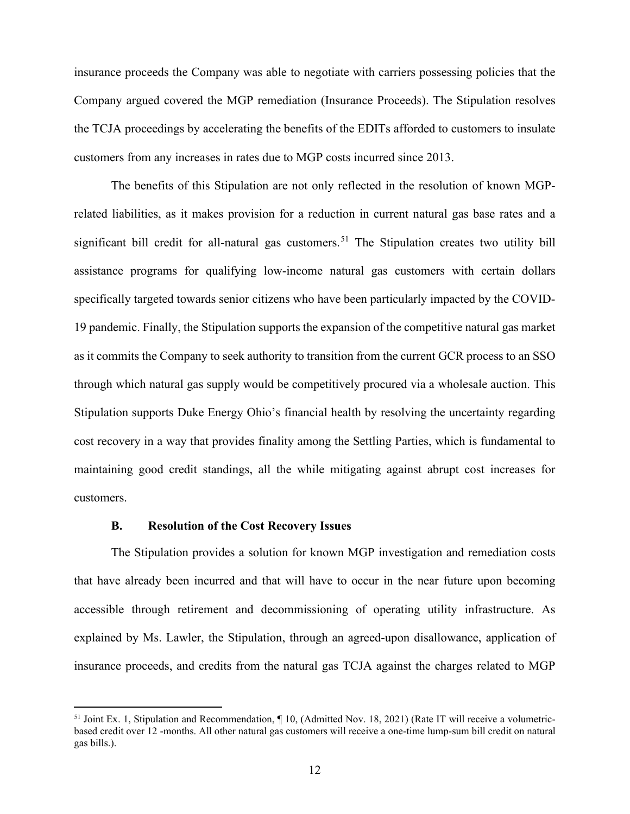insurance proceeds the Company was able to negotiate with carriers possessing policies that the Company argued covered the MGP remediation (Insurance Proceeds). The Stipulation resolves the TCJA proceedings by accelerating the benefits of the EDITs afforded to customers to insulate customers from any increases in rates due to MGP costs incurred since 2013.

The benefits of this Stipulation are not only reflected in the resolution of known MGPrelated liabilities, as it makes provision for a reduction in current natural gas base rates and a significant bill credit for all-natural gas customers.<sup>[51](#page-14-1)</sup> The Stipulation creates two utility bill assistance programs for qualifying low-income natural gas customers with certain dollars specifically targeted towards senior citizens who have been particularly impacted by the COVID-19 pandemic. Finally, the Stipulation supports the expansion of the competitive natural gas market as it commits the Company to seek authority to transition from the current GCR process to an SSO through which natural gas supply would be competitively procured via a wholesale auction. This Stipulation supports Duke Energy Ohio's financial health by resolving the uncertainty regarding cost recovery in a way that provides finality among the Settling Parties, which is fundamental to maintaining good credit standings, all the while mitigating against abrupt cost increases for customers.

### <span id="page-14-0"></span>**B. Resolution of the Cost Recovery Issues**

The Stipulation provides a solution for known MGP investigation and remediation costs that have already been incurred and that will have to occur in the near future upon becoming accessible through retirement and decommissioning of operating utility infrastructure. As explained by Ms. Lawler, the Stipulation, through an agreed-upon disallowance, application of insurance proceeds, and credits from the natural gas TCJA against the charges related to MGP

<span id="page-14-1"></span><sup>&</sup>lt;sup>51</sup> Joint Ex. 1, Stipulation and Recommendation,  $\P$  10, (Admitted Nov. 18, 2021) (Rate IT will receive a volumetricbased credit over 12 -months. All other natural gas customers will receive a one-time lump-sum bill credit on natural gas bills.).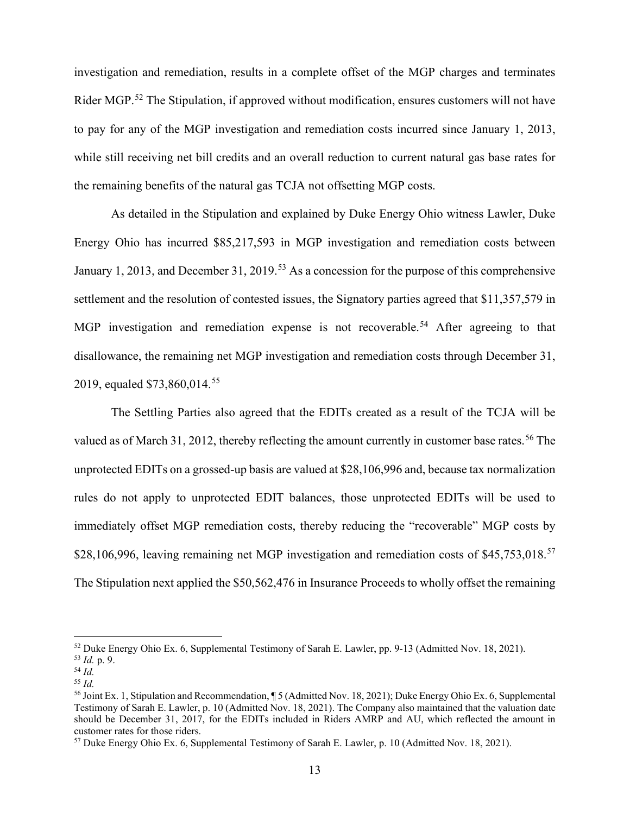investigation and remediation, results in a complete offset of the MGP charges and terminates Rider MGP.<sup>[52](#page-15-0)</sup> The Stipulation, if approved without modification, ensures customers will not have to pay for any of the MGP investigation and remediation costs incurred since January 1, 2013, while still receiving net bill credits and an overall reduction to current natural gas base rates for the remaining benefits of the natural gas TCJA not offsetting MGP costs.

As detailed in the Stipulation and explained by Duke Energy Ohio witness Lawler, Duke Energy Ohio has incurred \$85,217,593 in MGP investigation and remediation costs between January 1, 2013, and December 31, 2019.<sup>[53](#page-15-1)</sup> As a concession for the purpose of this comprehensive settlement and the resolution of contested issues, the Signatory parties agreed that \$11,357,579 in MGP investigation and remediation expense is not recoverable.<sup>[54](#page-15-2)</sup> After agreeing to that disallowance, the remaining net MGP investigation and remediation costs through December 31, 2019, equaled \$73,860,014.<sup>[55](#page-15-3)</sup>

The Settling Parties also agreed that the EDITs created as a result of the TCJA will be valued as of March 31, 2012, thereby reflecting the amount currently in customer base rates.<sup>[56](#page-15-4)</sup> The unprotected EDITs on a grossed-up basis are valued at \$28,106,996 and, because tax normalization rules do not apply to unprotected EDIT balances, those unprotected EDITs will be used to immediately offset MGP remediation costs, thereby reducing the "recoverable" MGP costs by \$28,106,996, leaving remaining net MGP investigation and remediation costs of \$45,753,018.<sup>[57](#page-16-0)</sup> The Stipulation next applied the \$50,562,476 in Insurance Proceeds to wholly offset the remaining

<sup>52</sup> Duke Energy Ohio Ex. 6, Supplemental Testimony of Sarah E. Lawler, pp. 9-13 (Admitted Nov. 18, 2021). 53 *Id.* p. 9. 54 *Id.*

<span id="page-15-0"></span>

<span id="page-15-2"></span><span id="page-15-1"></span>

<sup>55</sup> *Id.* 

<span id="page-15-4"></span><span id="page-15-3"></span><sup>56</sup> Joint Ex. 1, Stipulation and Recommendation, ¶ 5 (Admitted Nov. 18, 2021); Duke Energy Ohio Ex. 6, Supplemental Testimony of Sarah E. Lawler, p. 10 (Admitted Nov. 18, 2021). The Company also maintained that the valuation date should be December 31, 2017, for the EDITs included in Riders AMRP and AU, which reflected the amount in customer rates for those riders.

<sup>57</sup> Duke Energy Ohio Ex. 6, Supplemental Testimony of Sarah E. Lawler, p. 10 (Admitted Nov. 18, 2021).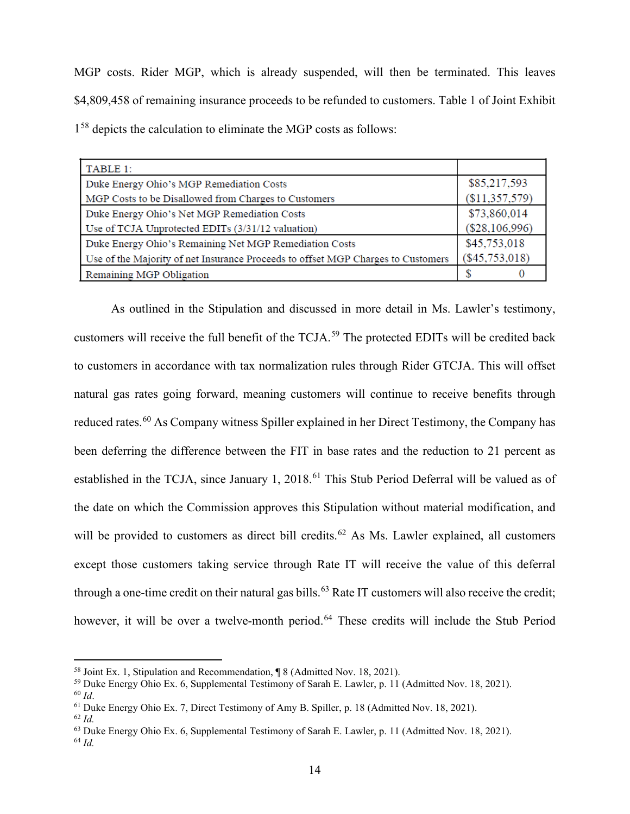MGP costs. Rider MGP, which is already suspended, will then be terminated. This leaves \$4,809,458 of remaining insurance proceeds to be refunded to customers. Table 1 of Joint Exhibit 1[58](#page-16-1) depicts the calculation to eliminate the MGP costs as follows:

| TABLE 1:                                                                         |                  |
|----------------------------------------------------------------------------------|------------------|
| Duke Energy Ohio's MGP Remediation Costs                                         | \$85,217,593     |
| MGP Costs to be Disallowed from Charges to Customers                             | (\$11,357,579)   |
| Duke Energy Ohio's Net MGP Remediation Costs                                     | \$73,860,014     |
| Use of TCJA Unprotected EDITs (3/31/12 valuation)                                | (\$28,106,996)   |
| Duke Energy Ohio's Remaining Net MGP Remediation Costs                           | \$45,753,018     |
| Use of the Majority of net Insurance Proceeds to offset MGP Charges to Customers | $(\$45,753,018)$ |
| Remaining MGP Obligation                                                         |                  |

As outlined in the Stipulation and discussed in more detail in Ms. Lawler's testimony, customers will receive the full benefit of the TCJA.[59](#page-16-2) The protected EDITs will be credited back to customers in accordance with tax normalization rules through Rider GTCJA. This will offset natural gas rates going forward, meaning customers will continue to receive benefits through reduced rates.<sup>[60](#page-16-3)</sup> As Company witness Spiller explained in her Direct Testimony, the Company has been deferring the difference between the FIT in base rates and the reduction to 21 percent as established in the TCJA, since January 1, 2018.<sup>[61](#page-16-4)</sup> This Stub Period Deferral will be valued as of the date on which the Commission approves this Stipulation without material modification, and will be provided to customers as direct bill credits.<sup>[62](#page-16-5)</sup> As Ms. Lawler explained, all customers except those customers taking service through Rate IT will receive the value of this deferral through a one-time credit on their natural gas bills.<sup>[63](#page-17-2)</sup> Rate IT customers will also receive the credit; however, it will be over a twelve-month period.<sup>[64](#page-17-3)</sup> These credits will include the Stub Period

<span id="page-16-0"></span><sup>&</sup>lt;sup>58</sup> Joint Ex. 1, Stipulation and Recommendation, ¶ 8 (Admitted Nov. 18, 2021).<br><sup>59</sup> Duke Energy Ohio Ex. 6, Supplemental Testimony of Sarah E. Lawler, p. 11 (Admitted Nov. 18, 2021). <sup>60</sup> *Id*.

<span id="page-16-2"></span><span id="page-16-1"></span><sup>61</sup> Duke Energy Ohio Ex. 7, Direct Testimony of Amy B. Spiller, p. 18 (Admitted Nov. 18, 2021).

<span id="page-16-3"></span><sup>62</sup> *Id.*

<span id="page-16-4"></span><sup>63</sup> Duke Energy Ohio Ex. 6, Supplemental Testimony of Sarah E. Lawler, p. 11 (Admitted Nov. 18, 2021).

<span id="page-16-5"></span><sup>64</sup> *Id.*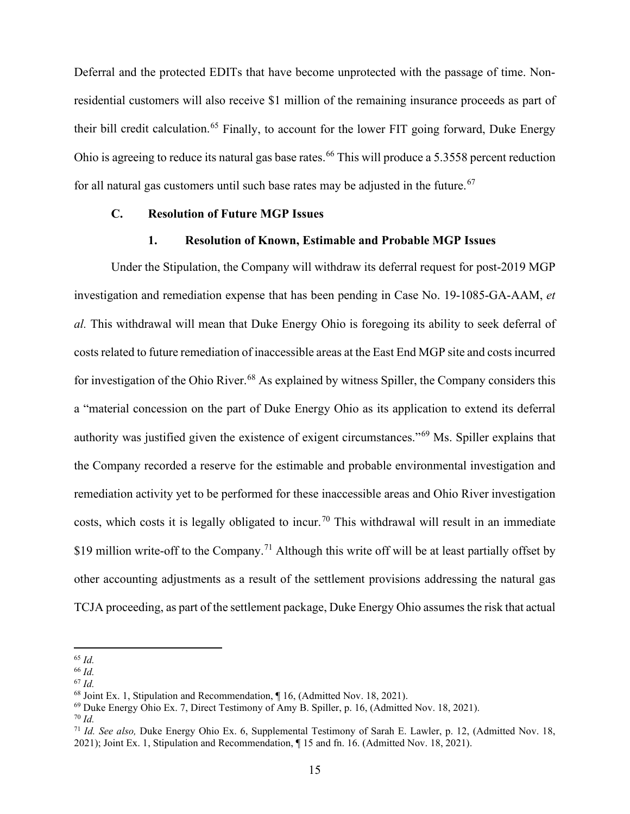Deferral and the protected EDITs that have become unprotected with the passage of time. Nonresidential customers will also receive \$1 million of the remaining insurance proceeds as part of their bill credit calculation.<sup>[65](#page-17-4)</sup> Finally, to account for the lower FIT going forward, Duke Energy Ohio is agreeing to reduce its natural gas base rates.<sup>[66](#page-17-5)</sup> This will produce a 5.3558 percent reduction for all natural gas customers until such base rates may be adjusted in the future.<sup>[67](#page-17-6)</sup>

#### **C. Resolution of Future MGP Issues**

### <span id="page-17-1"></span><span id="page-17-0"></span>**1. Resolution of Known, Estimable and Probable MGP Issues**

Under the Stipulation, the Company will withdraw its deferral request for post-2019 MGP investigation and remediation expense that has been pending in Case No. 19-1085-GA-AAM, *et al.* This withdrawal will mean that Duke Energy Ohio is foregoing its ability to seek deferral of costs related to future remediation of inaccessible areas at the East End MGP site and costs incurred for investigation of the Ohio River.<sup>[68](#page-17-7)</sup> As explained by witness Spiller, the Company considers this a "material concession on the part of Duke Energy Ohio as its application to extend its deferral authority was justified given the existence of exigent circumstances."[69](#page-17-8) Ms. Spiller explains that the Company recorded a reserve for the estimable and probable environmental investigation and remediation activity yet to be performed for these inaccessible areas and Ohio River investigation costs, which costs it is legally obligated to incur.<sup>[70](#page-18-1)</sup> This withdrawal will result in an immediate \$19 million write-off to the Company.<sup>[71](#page-18-2)</sup> Although this write off will be at least partially offset by other accounting adjustments as a result of the settlement provisions addressing the natural gas TCJA proceeding, as part of the settlement package, Duke Energy Ohio assumes the risk that actual

<sup>65</sup> *Id.*

<span id="page-17-2"></span><sup>66</sup> *Id.*

<span id="page-17-3"></span><sup>67</sup> *Id.*

<span id="page-17-4"></span><sup>68</sup> Joint Ex. 1, Stipulation and Recommendation, ¶ 16, (Admitted Nov. 18, 2021).

<span id="page-17-5"></span><sup>69</sup> Duke Energy Ohio Ex. 7, Direct Testimony of Amy B. Spiller, p. 16, (Admitted Nov. 18, 2021).

<span id="page-17-6"></span><sup>70</sup> *Id.*

<span id="page-17-8"></span><span id="page-17-7"></span><sup>71</sup> *Id. See also,* Duke Energy Ohio Ex. 6, Supplemental Testimony of Sarah E. Lawler, p. 12, (Admitted Nov. 18, 2021); Joint Ex. 1, Stipulation and Recommendation, ¶ 15 and fn. 16. (Admitted Nov. 18, 2021).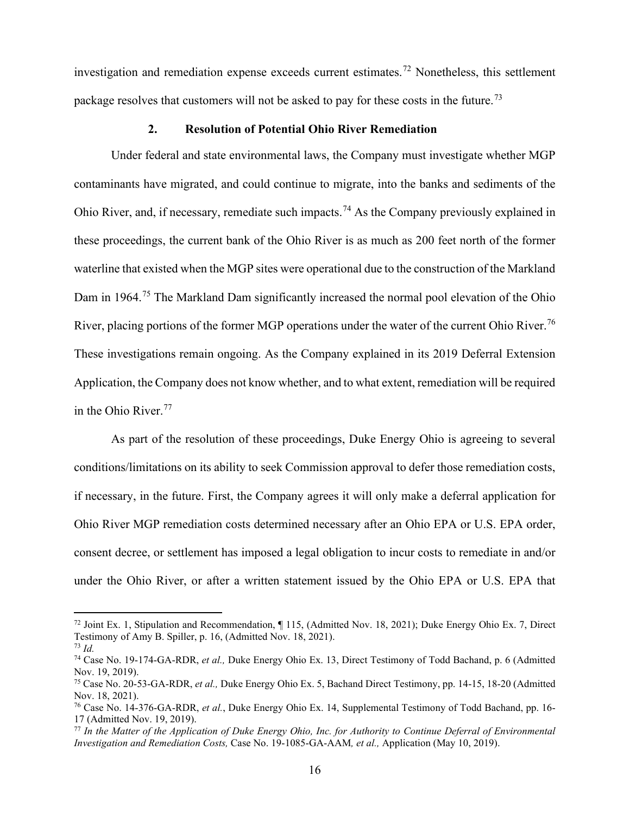investigation and remediation expense exceeds current estimates.<sup>[72](#page-18-3)</sup> Nonetheless, this settlement package resolves that customers will not be asked to pay for these costs in the future.<sup>[73](#page-18-4)</sup>

#### <span id="page-18-0"></span>**2. Resolution of Potential Ohio River Remediation**

Under federal and state environmental laws, the Company must investigate whether MGP contaminants have migrated, and could continue to migrate, into the banks and sediments of the Ohio River, and, if necessary, remediate such impacts.[74](#page-18-5) As the Company previously explained in these proceedings, the current bank of the Ohio River is as much as 200 feet north of the former waterline that existed when the MGP sites were operational due to the construction of the Markland Dam in 1964.<sup>[75](#page-18-6)</sup> The Markland Dam significantly increased the normal pool elevation of the Ohio River, placing portions of the former MGP operations under the water of the current Ohio River.<sup>[76](#page-18-7)</sup> These investigations remain ongoing. As the Company explained in its 2019 Deferral Extension Application, the Company does not know whether, and to what extent, remediation will be required in the Ohio River.<sup>[77](#page-18-8)</sup>

As part of the resolution of these proceedings, Duke Energy Ohio is agreeing to several conditions/limitations on its ability to seek Commission approval to defer those remediation costs, if necessary, in the future. First, the Company agrees it will only make a deferral application for Ohio River MGP remediation costs determined necessary after an Ohio EPA or U.S. EPA order, consent decree, or settlement has imposed a legal obligation to incur costs to remediate in and/or under the Ohio River, or after a written statement issued by the Ohio EPA or U.S. EPA that

<span id="page-18-3"></span><span id="page-18-2"></span><span id="page-18-1"></span><sup>72</sup> Joint Ex. 1, Stipulation and Recommendation, ¶ 115, (Admitted Nov. 18, 2021); Duke Energy Ohio Ex. 7, Direct Testimony of Amy B. Spiller, p. 16, (Admitted Nov. 18, 2021). <sup>73</sup> *Id.*

<span id="page-18-5"></span><span id="page-18-4"></span><sup>74</sup> Case No. 19-174-GA-RDR, *et al.,* Duke Energy Ohio Ex. 13, Direct Testimony of Todd Bachand, p. 6 (Admitted Nov. 19, 2019).

<span id="page-18-6"></span><sup>75</sup> Case No. 20-53-GA-RDR, *et al.,* Duke Energy Ohio Ex. 5, Bachand Direct Testimony, pp. 14-15, 18-20 (Admitted Nov. 18, 2021).

<span id="page-18-7"></span><sup>76</sup> Case No. 14-376-GA-RDR, *et al.*, Duke Energy Ohio Ex. 14, Supplemental Testimony of Todd Bachand, pp. 16- 17 (Admitted Nov. 19, 2019).

<span id="page-18-8"></span><sup>77</sup> *In the Matter of the Application of Duke Energy Ohio, Inc. for Authority to Continue Deferral of Environmental Investigation and Remediation Costs,* Case No. 19-1085-GA-AAM*, et al.,* Application (May 10, 2019).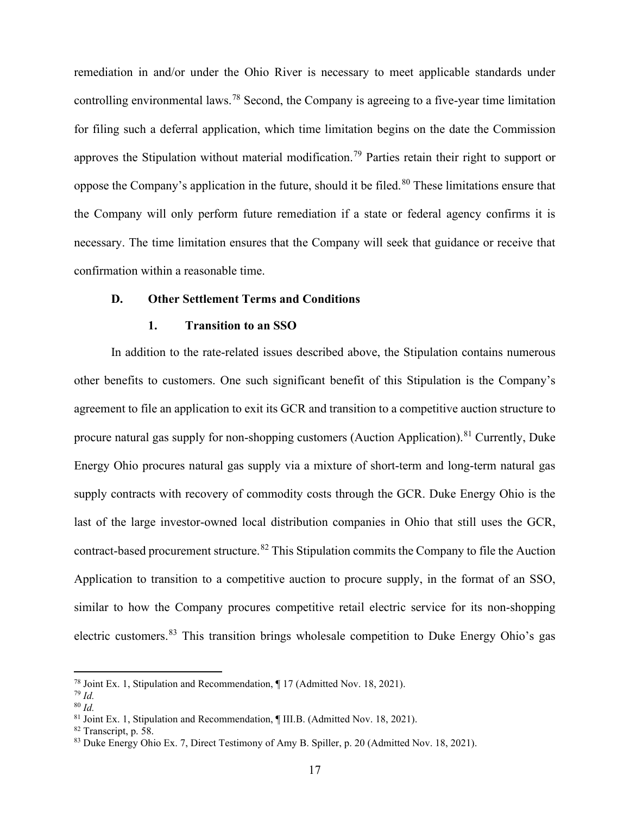remediation in and/or under the Ohio River is necessary to meet applicable standards under controlling environmental laws.[78](#page-19-2) Second, the Company is agreeing to a five-year time limitation for filing such a deferral application, which time limitation begins on the date the Commission approves the Stipulation without material modification.<sup>[79](#page-19-3)</sup> Parties retain their right to support or oppose the Company's application in the future, should it be filed.<sup>[80](#page-19-4)</sup> These limitations ensure that the Company will only perform future remediation if a state or federal agency confirms it is necessary. The time limitation ensures that the Company will seek that guidance or receive that confirmation within a reasonable time.

#### **D. Other Settlement Terms and Conditions**

#### <span id="page-19-1"></span><span id="page-19-0"></span>**1. Transition to an SSO**

In addition to the rate-related issues described above, the Stipulation contains numerous other benefits to customers. One such significant benefit of this Stipulation is the Company's agreement to file an application to exit its GCR and transition to a competitive auction structure to procure natural gas supply for non-shopping customers (Auction Application).<sup>[81](#page-19-5)</sup> Currently, Duke Energy Ohio procures natural gas supply via a mixture of short-term and long-term natural gas supply contracts with recovery of commodity costs through the GCR. Duke Energy Ohio is the last of the large investor-owned local distribution companies in Ohio that still uses the GCR, contract-based procurement structure.<sup>[82](#page-20-1)</sup> This Stipulation commits the Company to file the Auction Application to transition to a competitive auction to procure supply, in the format of an SSO, similar to how the Company procures competitive retail electric service for its non-shopping electric customers.[83](#page-20-2) This transition brings wholesale competition to Duke Energy Ohio's gas

<sup>78</sup> Joint Ex. 1, Stipulation and Recommendation, ¶ 17 (Admitted Nov. 18, 2021).

<sup>79</sup> *Id.*

<span id="page-19-2"></span><sup>80</sup> *Id.*

<span id="page-19-3"></span><sup>81</sup> Joint Ex. 1, Stipulation and Recommendation, ¶ III.B. (Admitted Nov. 18, 2021).

<span id="page-19-5"></span><span id="page-19-4"></span><sup>82</sup> Transcript, p. 58.

<sup>83</sup> Duke Energy Ohio Ex. 7, Direct Testimony of Amy B. Spiller, p. 20 (Admitted Nov. 18, 2021).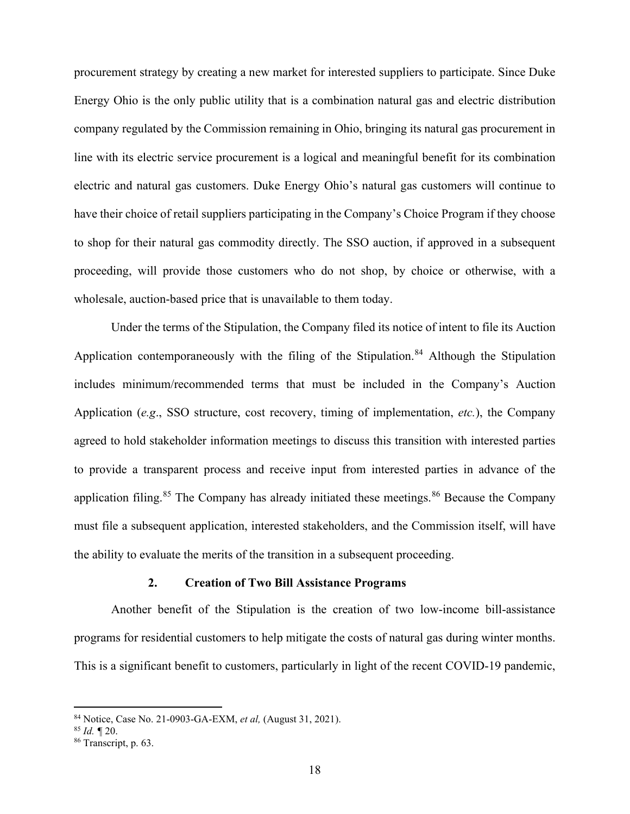procurement strategy by creating a new market for interested suppliers to participate. Since Duke Energy Ohio is the only public utility that is a combination natural gas and electric distribution company regulated by the Commission remaining in Ohio, bringing its natural gas procurement in line with its electric service procurement is a logical and meaningful benefit for its combination electric and natural gas customers. Duke Energy Ohio's natural gas customers will continue to have their choice of retail suppliers participating in the Company's Choice Program if they choose to shop for their natural gas commodity directly. The SSO auction, if approved in a subsequent proceeding, will provide those customers who do not shop, by choice or otherwise, with a wholesale, auction-based price that is unavailable to them today.

Under the terms of the Stipulation, the Company filed its notice of intent to file its Auction Application contemporaneously with the filing of the Stipulation.<sup>[84](#page-20-3)</sup> Although the Stipulation includes minimum/recommended terms that must be included in the Company's Auction Application (*e.g*., SSO structure, cost recovery, timing of implementation, *etc.*), the Company agreed to hold stakeholder information meetings to discuss this transition with interested parties to provide a transparent process and receive input from interested parties in advance of the application filing.<sup>[85](#page-21-1)</sup> The Company has already initiated these meetings.<sup>[86](#page-21-2)</sup> Because the Company must file a subsequent application, interested stakeholders, and the Commission itself, will have the ability to evaluate the merits of the transition in a subsequent proceeding.

## <span id="page-20-0"></span>**2. Creation of Two Bill Assistance Programs**

Another benefit of the Stipulation is the creation of two low-income bill-assistance programs for residential customers to help mitigate the costs of natural gas during winter months. This is a significant benefit to customers, particularly in light of the recent COVID-19 pandemic,

<span id="page-20-1"></span><sup>84</sup> Notice, Case No. 21-0903-GA-EXM, *et al,* (August 31, 2021). 85 *Id. ¶* 20.

<span id="page-20-2"></span>

<span id="page-20-3"></span><sup>86</sup> Transcript, p. 63.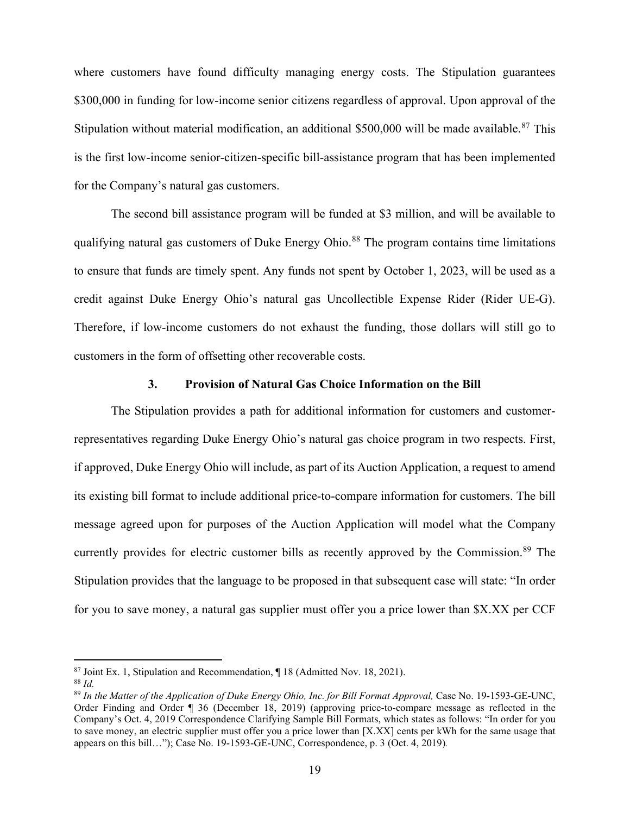where customers have found difficulty managing energy costs. The Stipulation guarantees \$300,000 in funding for low-income senior citizens regardless of approval. Upon approval of the Stipulation without material modification, an additional \$500,000 will be made available.<sup>[87](#page-21-3)</sup> This is the first low-income senior-citizen-specific bill-assistance program that has been implemented for the Company's natural gas customers.

The second bill assistance program will be funded at \$3 million, and will be available to qualifying natural gas customers of Duke Energy Ohio.<sup>[88](#page-21-4)</sup> The program contains time limitations to ensure that funds are timely spent. Any funds not spent by October 1, 2023, will be used as a credit against Duke Energy Ohio's natural gas Uncollectible Expense Rider (Rider UE-G). Therefore, if low-income customers do not exhaust the funding, those dollars will still go to customers in the form of offsetting other recoverable costs.

## <span id="page-21-0"></span>**3. Provision of Natural Gas Choice Information on the Bill**

The Stipulation provides a path for additional information for customers and customerrepresentatives regarding Duke Energy Ohio's natural gas choice program in two respects. First, if approved, Duke Energy Ohio will include, as part of its Auction Application, a request to amend its existing bill format to include additional price-to-compare information for customers. The bill message agreed upon for purposes of the Auction Application will model what the Company currently provides for electric customer bills as recently approved by the Commission.<sup>[89](#page-22-2)</sup> The Stipulation provides that the language to be proposed in that subsequent case will state: "In order for you to save money, a natural gas supplier must offer you a price lower than \$X.XX per CCF

 $87$  Joint Ex. 1, Stipulation and Recommendation,  $\P$  18 (Admitted Nov. 18, 2021).

<sup>88</sup> *Id.*

<span id="page-21-4"></span><span id="page-21-3"></span><span id="page-21-2"></span><span id="page-21-1"></span><sup>&</sup>lt;sup>89</sup> In the Matter of the Application of Duke Energy Ohio, Inc. for Bill Format Approval, Case No. 19-1593-GE-UNC, Order Finding and Order ¶ 36 (December 18, 2019) (approving price-to-compare message as reflected in the Company's Oct. 4, 2019 Correspondence Clarifying Sample Bill Formats, which states as follows: "In order for you to save money, an electric supplier must offer you a price lower than [X.XX] cents per kWh for the same usage that appears on this bill…"); Case No. 19-1593-GE-UNC, Correspondence, p. 3 (Oct. 4, 2019)*.*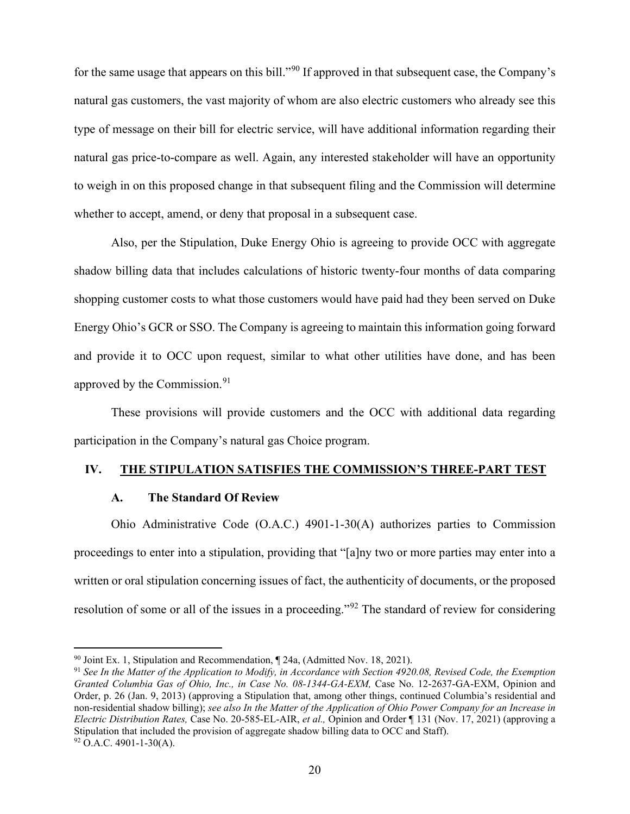for the same usage that appears on this bill."<sup>[90](#page-22-3)</sup> If approved in that subsequent case, the Company's natural gas customers, the vast majority of whom are also electric customers who already see this type of message on their bill for electric service, will have additional information regarding their natural gas price-to-compare as well. Again, any interested stakeholder will have an opportunity to weigh in on this proposed change in that subsequent filing and the Commission will determine whether to accept, amend, or deny that proposal in a subsequent case.

Also, per the Stipulation, Duke Energy Ohio is agreeing to provide OCC with aggregate shadow billing data that includes calculations of historic twenty-four months of data comparing shopping customer costs to what those customers would have paid had they been served on Duke Energy Ohio's GCR or SSO. The Company is agreeing to maintain this information going forward and provide it to OCC upon request, similar to what other utilities have done, and has been approved by the Commission.<sup>[91](#page-23-1)</sup>

These provisions will provide customers and the OCC with additional data regarding participation in the Company's natural gas Choice program.

## **IV. THE STIPULATION SATISFIES THE COMMISSION'S THREE-PART TEST**

### <span id="page-22-1"></span><span id="page-22-0"></span>**A. The Standard Of Review**

Ohio Administrative Code (O.A.C.) 4901-1-30(A) authorizes parties to Commission proceedings to enter into a stipulation, providing that "[a]ny two or more parties may enter into a written or oral stipulation concerning issues of fact, the authenticity of documents, or the proposed resolution of some or all of the issues in a proceeding."<sup>[92](#page-23-2)</sup> The standard of review for considering

 $90$  Joint Ex. 1, Stipulation and Recommendation,  $\P$  24a, (Admitted Nov. 18, 2021).

<span id="page-22-3"></span><span id="page-22-2"></span><sup>91</sup> *See In the Matter of the Application to Modify, in Accordance with Section 4920.08, Revised Code, the Exemption Granted Columbia Gas of Ohio, Inc., in Case No. 08-1344-GA-EXM,* Case No. 12-2637-GA-EXM, Opinion and Order, p. 26 (Jan. 9, 2013) (approving a Stipulation that, among other things, continued Columbia's residential and non-residential shadow billing); *see also In the Matter of the Application of Ohio Power Company for an Increase in Electric Distribution Rates,* Case No. 20-585-EL-AIR, *et al.,* Opinion and Order ¶ 131 (Nov. 17, 2021) (approving a Stipulation that included the provision of aggregate shadow billing data to OCC and Staff).  $92$  O.A.C. 4901-1-30(A).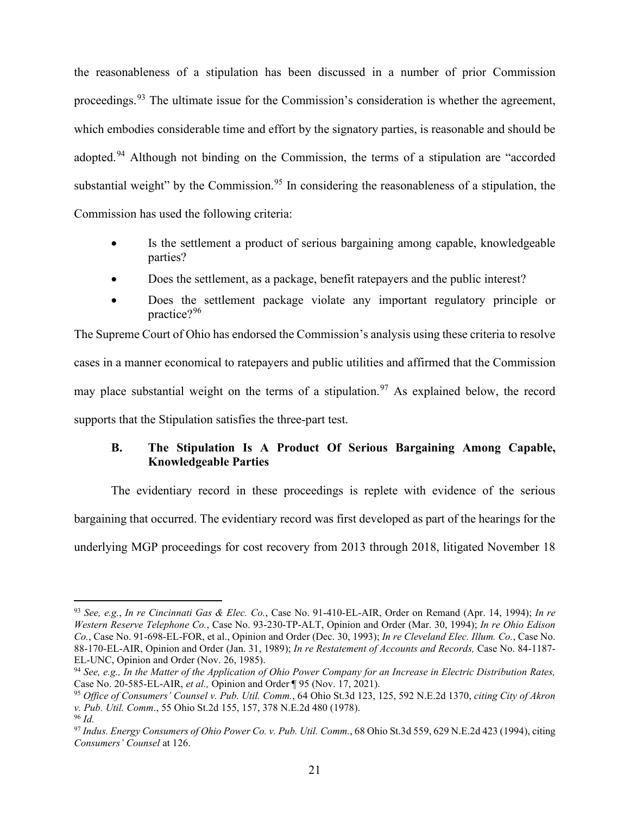the reasonableness of a stipulation has been discussed in a number of prior Commission proceedings.<sup>[93](#page-23-3)</sup> The ultimate issue for the Commission's consideration is whether the agreement, which embodies considerable time and effort by the signatory parties, is reasonable and should be adopted.<sup>[94](#page-23-4)</sup> Although not binding on the Commission, the terms of a stipulation are "accorded substantial weight" by the Commission.<sup>[95](#page-24-0)</sup> In considering the reasonableness of a stipulation, the Commission has used the following criteria:

- Is the settlement a product of serious bargaining among capable, knowledgeable parties?
- Does the settlement, as a package, benefit ratepayers and the public interest?
- Does the settlement package violate any important regulatory principle or practice?[96](#page-24-1)

The Supreme Court of Ohio has endorsed the Commission's analysis using these criteria to resolve cases in a manner economical to ratepayers and public utilities and affirmed that the Commission may place substantial weight on the terms of a stipulation.<sup>[97](#page-24-2)</sup> As explained below, the record supports that the Stipulation satisfies the three-part test.

## <span id="page-23-0"></span>**B. The Stipulation Is A Product Of Serious Bargaining Among Capable, Knowledgeable Parties**

The evidentiary record in these proceedings is replete with evidence of the serious bargaining that occurred. The evidentiary record was first developed as part of the hearings for the underlying MGP proceedings for cost recovery from 2013 through 2018, litigated November 18

<span id="page-23-1"></span><sup>93</sup> *See, e.g.*, *In re Cincinnati Gas & Elec. Co.*, Case No. 91-410-EL-AIR, Order on Remand (Apr. 14, 1994); *In re Western Reserve Telephone Co.*, Case No. 93-230-TP-ALT, Opinion and Order (Mar. 30, 1994); *In re Ohio Edison Co.*, Case No. 91-698-EL-FOR, et al., Opinion and Order (Dec. 30, 1993); *In re Cleveland Elec. Illum. Co.*, Case No. 88-170-EL-AIR, Opinion and Order (Jan. 31, 1989); *In re Restatement of Accounts and Records,* Case No. 84-1187- EL-UNC, Opinion and Order (Nov. 26, 1985).

<span id="page-23-3"></span><span id="page-23-2"></span><sup>94</sup> *See, e.g., In the Matter of the Application of Ohio Power Company for an Increase in Electric Distribution Rates,*  Case No. 20-585-EL-AIR, *et al.,* Opinion and Order ¶ 95 (Nov. 17, 2021).

<sup>95</sup> *Office of Consumers' Counsel v. Pub. Util. Comm.*, 64 Ohio St.3d 123, 125, 592 N.E.2d 1370, *citing City of Akron v. Pub. Util. Comm*., 55 Ohio St.2d 155, 157, 378 N.E.2d 480 (1978).

<sup>96</sup> *Id.*

<span id="page-23-4"></span><sup>97</sup> *Indus. Energy Consumers of Ohio Power Co. v. Pub. Util. Comm.*, 68 Ohio St.3d 559, 629 N.E.2d 423 (1994), citing *Consumers' Counsel* at 126.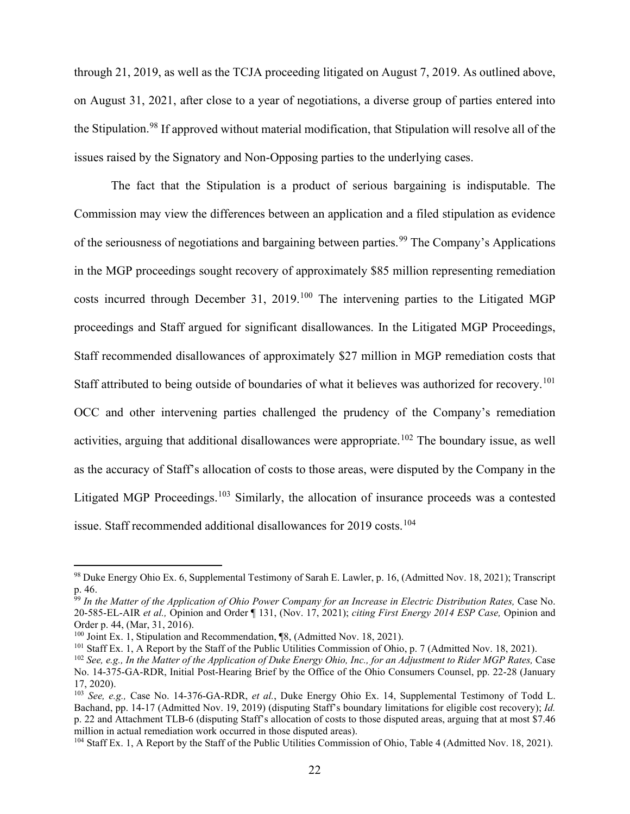through 21, 2019, as well as the TCJA proceeding litigated on August 7, 2019. As outlined above, on August 31, 2021, after close to a year of negotiations, a diverse group of parties entered into the Stipulation.<sup>[98](#page-24-3)</sup> If approved without material modification, that Stipulation will resolve all of the issues raised by the Signatory and Non-Opposing parties to the underlying cases.

The fact that the Stipulation is a product of serious bargaining is indisputable. The Commission may view the differences between an application and a filed stipulation as evidence of the seriousness of negotiations and bargaining between parties.<sup>[99](#page-25-0)</sup> The Company's Applications in the MGP proceedings sought recovery of approximately \$85 million representing remediation costs incurred through December 31, 2019.<sup>[100](#page-25-1)</sup> The intervening parties to the Litigated MGP proceedings and Staff argued for significant disallowances. In the Litigated MGP Proceedings, Staff recommended disallowances of approximately \$27 million in MGP remediation costs that Staff attributed to being outside of boundaries of what it believes was authorized for recovery.<sup>[101](#page-25-2)</sup> OCC and other intervening parties challenged the prudency of the Company's remediation activities, arguing that additional disallowances were appropriate.<sup>[102](#page-25-3)</sup> The boundary issue, as well as the accuracy of Staff's allocation of costs to those areas, were disputed by the Company in the Litigated MGP Proceedings.<sup>[103](#page-25-4)</sup> Similarly, the allocation of insurance proceeds was a contested issue. Staff recommended additional disallowances for 2019 costs.<sup>[104](#page-25-5)</sup>

<sup>98</sup> Duke Energy Ohio Ex. 6, Supplemental Testimony of Sarah E. Lawler, p. 16, (Admitted Nov. 18, 2021); Transcript p. 46.

<sup>&</sup>lt;sup>99</sup> In the Matter of the Application of Ohio Power Company for an Increase in Electric Distribution Rates, Case No. 20-585-EL-AIR *et al.,* Opinion and Order ¶ 131, (Nov. 17, 2021); *citing First Energy 2014 ESP Case,* Opinion and Order p. 44, (Mar, 31, 2016).

<sup>100</sup> Joint Ex. 1, Stipulation and Recommendation, ¶8, (Admitted Nov. 18, 2021).

<sup>&</sup>lt;sup>101</sup> Staff Ex. 1, A Report by the Staff of the Public Utilities Commission of Ohio, p. 7 (Admitted Nov. 18, 2021).

<span id="page-24-0"></span><sup>&</sup>lt;sup>102</sup> *See, e.g., In the Matter of the Application of Duke Energy Ohio, Inc., for an Adjustment to Rider MGP Rates, Case* No. 14-375-GA-RDR, Initial Post-Hearing Brief by the Office of the Ohio Consumers Counsel, pp. 22-28 (January 17, 2020).

<span id="page-24-2"></span><span id="page-24-1"></span><sup>103</sup> *See, e.g.,* Case No. 14-376-GA-RDR, *et al.*, Duke Energy Ohio Ex. 14, Supplemental Testimony of Todd L. Bachand, pp. 14-17 (Admitted Nov. 19, 2019) (disputing Staff's boundary limitations for eligible cost recovery); *Id.*  p. 22 and Attachment TLB-6 (disputing Staff's allocation of costs to those disputed areas, arguing that at most \$7.46 million in actual remediation work occurred in those disputed areas). <sup>104</sup> Staff Ex. 1, A Report by the Staff of the Public Utilities Commission of Ohio, Table 4 (Admitted Nov. 18, 2021).

<span id="page-24-3"></span>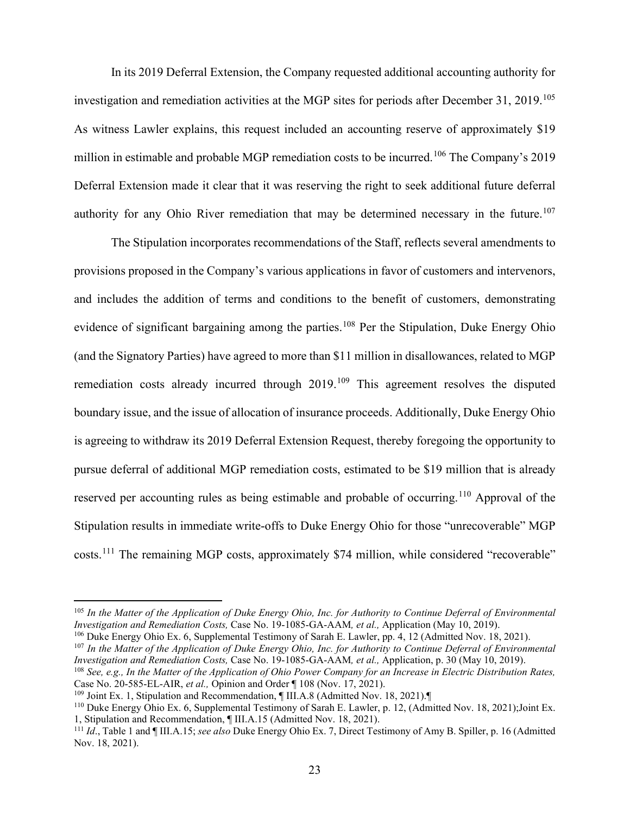In its 2019 Deferral Extension, the Company requested additional accounting authority for investigation and remediation activities at the MGP sites for periods after December 31, 2019.<sup>[105](#page-25-6)</sup> As witness Lawler explains, this request included an accounting reserve of approximately \$19 million in estimable and probable MGP remediation costs to be incurred.<sup>[106](#page-25-7)</sup> The Company's 2019 Deferral Extension made it clear that it was reserving the right to seek additional future deferral authority for any Ohio River remediation that may be determined necessary in the future.<sup>[107](#page-26-0)</sup>

The Stipulation incorporates recommendations of the Staff, reflects several amendments to provisions proposed in the Company's various applications in favor of customers and intervenors, and includes the addition of terms and conditions to the benefit of customers, demonstrating evidence of significant bargaining among the parties.<sup>[108](#page-26-1)</sup> Per the Stipulation, Duke Energy Ohio (and the Signatory Parties) have agreed to more than \$11 million in disallowances, related to MGP remediation costs already incurred through 2019.<sup>[109](#page-26-2)</sup> This agreement resolves the disputed boundary issue, and the issue of allocation of insurance proceeds. Additionally, Duke Energy Ohio is agreeing to withdraw its 2019 Deferral Extension Request, thereby foregoing the opportunity to pursue deferral of additional MGP remediation costs, estimated to be \$19 million that is already reserved per accounting rules as being estimable and probable of occurring.<sup>[110](#page-26-3)</sup> Approval of the Stipulation results in immediate write-offs to Duke Energy Ohio for those "unrecoverable" MGP costs.[111](#page-26-4) The remaining MGP costs, approximately \$74 million, while considered "recoverable"

<span id="page-25-3"></span><span id="page-25-2"></span><span id="page-25-1"></span><span id="page-25-0"></span><sup>105</sup> *In the Matter of the Application of Duke Energy Ohio, Inc. for Authority to Continue Deferral of Environmental Investigation and Remediation Costs,* Case No. 19-1085-GA-AAM*, et al.,* Application (May 10, 2019).

<sup>106</sup> Duke Energy Ohio Ex. 6, Supplemental Testimony of Sarah E. Lawler, pp. 4, 12 (Admitted Nov. 18, 2021).

<span id="page-25-4"></span><sup>107</sup> *In the Matter of the Application of Duke Energy Ohio, Inc. for Authority to Continue Deferral of Environmental Investigation and Remediation Costs,* Case No. 19-1085-GA-AAM*, et al.,* Application, p. 30 (May 10, 2019).

<sup>108</sup> *See, e.g., In the Matter of the Application of Ohio Power Company for an Increase in Electric Distribution Rates,*  Case No. 20-585-EL-AIR, *et al.,* Opinion and Order ¶ 108 (Nov. 17, 2021).

<sup>109</sup> Joint Ex. 1, Stipulation and Recommendation, ¶ III.A.8 (Admitted Nov. 18, 2021).¶

<span id="page-25-5"></span><sup>110</sup> Duke Energy Ohio Ex. 6, Supplemental Testimony of Sarah E. Lawler, p. 12, (Admitted Nov. 18, 2021);Joint Ex. 1, Stipulation and Recommendation, ¶ III.A.15 (Admitted Nov. 18, 2021).

<span id="page-25-7"></span><span id="page-25-6"></span><sup>111</sup> *Id*., Table 1 and ¶ III.A.15; *see also* Duke Energy Ohio Ex. 7, Direct Testimony of Amy B. Spiller, p. 16 (Admitted Nov. 18, 2021).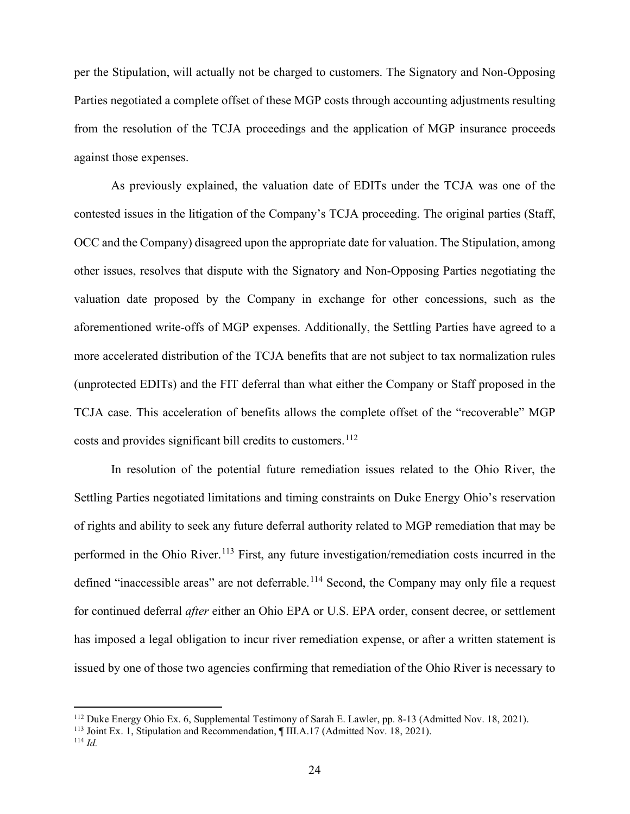per the Stipulation, will actually not be charged to customers. The Signatory and Non-Opposing Parties negotiated a complete offset of these MGP costs through accounting adjustments resulting from the resolution of the TCJA proceedings and the application of MGP insurance proceeds against those expenses.

As previously explained, the valuation date of EDITs under the TCJA was one of the contested issues in the litigation of the Company's TCJA proceeding. The original parties (Staff, OCC and the Company) disagreed upon the appropriate date for valuation. The Stipulation, among other issues, resolves that dispute with the Signatory and Non-Opposing Parties negotiating the valuation date proposed by the Company in exchange for other concessions, such as the aforementioned write-offs of MGP expenses. Additionally, the Settling Parties have agreed to a more accelerated distribution of the TCJA benefits that are not subject to tax normalization rules (unprotected EDITs) and the FIT deferral than what either the Company or Staff proposed in the TCJA case. This acceleration of benefits allows the complete offset of the "recoverable" MGP costs and provides significant bill credits to customers.<sup>[112](#page-27-0)</sup>

In resolution of the potential future remediation issues related to the Ohio River, the Settling Parties negotiated limitations and timing constraints on Duke Energy Ohio's reservation of rights and ability to seek any future deferral authority related to MGP remediation that may be performed in the Ohio River.<sup>[113](#page-27-1)</sup> First, any future investigation/remediation costs incurred in the defined "inaccessible areas" are not deferrable.<sup>[114](#page-27-2)</sup> Second, the Company may only file a request for continued deferral *after* either an Ohio EPA or U.S. EPA order, consent decree, or settlement has imposed a legal obligation to incur river remediation expense, or after a written statement is issued by one of those two agencies confirming that remediation of the Ohio River is necessary to

<span id="page-26-3"></span><span id="page-26-2"></span><span id="page-26-1"></span><span id="page-26-0"></span><sup>112</sup> Duke Energy Ohio Ex. 6, Supplemental Testimony of Sarah E. Lawler, pp. 8-13 (Admitted Nov. 18, 2021).

<span id="page-26-4"></span><sup>113</sup> Joint Ex. 1, Stipulation and Recommendation, ¶ III.A.17 (Admitted Nov. 18, 2021).

<sup>114</sup> *Id.*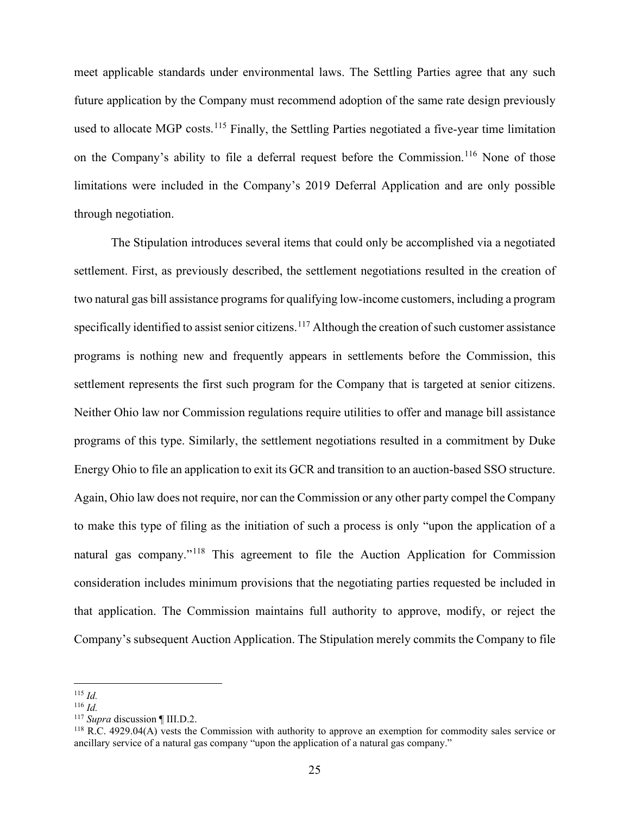meet applicable standards under environmental laws. The Settling Parties agree that any such future application by the Company must recommend adoption of the same rate design previously used to allocate MGP costs.<sup>[115](#page-27-3)</sup> Finally, the Settling Parties negotiated a five-year time limitation on the Company's ability to file a deferral request before the Commission.<sup>[116](#page-27-4)</sup> None of those limitations were included in the Company's 2019 Deferral Application and are only possible through negotiation.

The Stipulation introduces several items that could only be accomplished via a negotiated settlement. First, as previously described, the settlement negotiations resulted in the creation of two natural gas bill assistance programs for qualifying low-income customers, including a program specifically identified to assist senior citizens.<sup>[117](#page-28-0)</sup> Although the creation of such customer assistance programs is nothing new and frequently appears in settlements before the Commission, this settlement represents the first such program for the Company that is targeted at senior citizens. Neither Ohio law nor Commission regulations require utilities to offer and manage bill assistance programs of this type. Similarly, the settlement negotiations resulted in a commitment by Duke Energy Ohio to file an application to exit its GCR and transition to an auction-based SSO structure. Again, Ohio law does not require, nor can the Commission or any other party compel the Company to make this type of filing as the initiation of such a process is only "upon the application of a natural gas company."<sup>[118](#page-28-1)</sup> This agreement to file the Auction Application for Commission consideration includes minimum provisions that the negotiating parties requested be included in that application. The Commission maintains full authority to approve, modify, or reject the Company's subsequent Auction Application. The Stipulation merely commits the Company to file

<span id="page-27-0"></span><sup>115</sup> *Id.*

<span id="page-27-1"></span><sup>116</sup> *Id.*

<span id="page-27-2"></span><sup>117</sup> *Supra* discussion ¶ III.D.2.

<span id="page-27-4"></span><span id="page-27-3"></span><sup>118</sup> R.C. 4929.04(A) vests the Commission with authority to approve an exemption for commodity sales service or ancillary service of a natural gas company "upon the application of a natural gas company."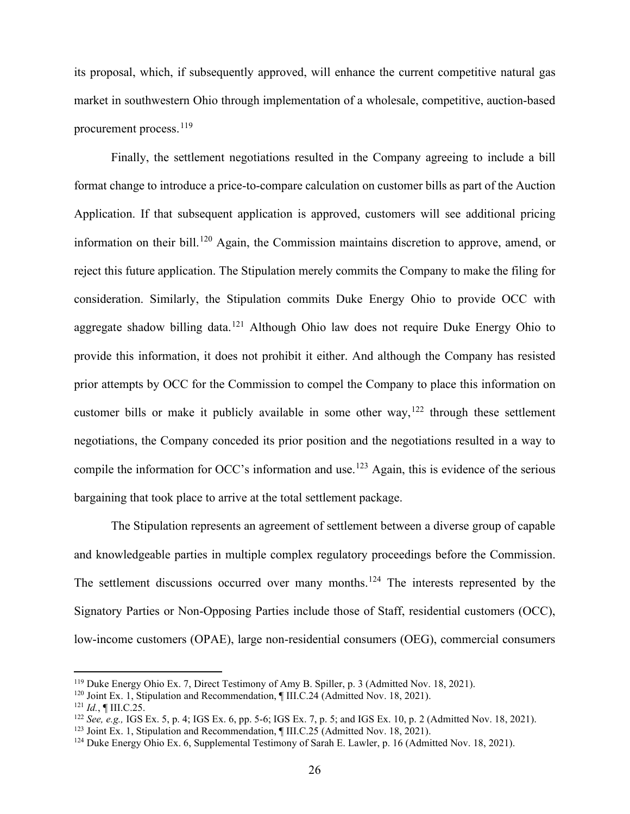its proposal, which, if subsequently approved, will enhance the current competitive natural gas market in southwestern Ohio through implementation of a wholesale, competitive, auction-based procurement process.<sup>[119](#page-28-2)</sup>

Finally, the settlement negotiations resulted in the Company agreeing to include a bill format change to introduce a price-to-compare calculation on customer bills as part of the Auction Application. If that subsequent application is approved, customers will see additional pricing information on their bill.<sup>[120](#page-29-1)</sup> Again, the Commission maintains discretion to approve, amend, or reject this future application. The Stipulation merely commits the Company to make the filing for consideration. Similarly, the Stipulation commits Duke Energy Ohio to provide OCC with aggregate shadow billing data.<sup>[121](#page-29-2)</sup> Although Ohio law does not require Duke Energy Ohio to provide this information, it does not prohibit it either. And although the Company has resisted prior attempts by OCC for the Commission to compel the Company to place this information on customer bills or make it publicly available in some other way,  $122$  through these settlement negotiations, the Company conceded its prior position and the negotiations resulted in a way to compile the information for OCC's information and use.<sup>[123](#page-29-4)</sup> Again, this is evidence of the serious bargaining that took place to arrive at the total settlement package.

The Stipulation represents an agreement of settlement between a diverse group of capable and knowledgeable parties in multiple complex regulatory proceedings before the Commission. The settlement discussions occurred over many months.<sup>[124](#page-29-5)</sup> The interests represented by the Signatory Parties or Non-Opposing Parties include those of Staff, residential customers (OCC), low-income customers (OPAE), large non-residential consumers (OEG), commercial consumers

<sup>119</sup> Duke Energy Ohio Ex. 7, Direct Testimony of Amy B. Spiller, p. 3 (Admitted Nov. 18, 2021).

<sup>&</sup>lt;sup>120</sup> Joint Ex. 1, Stipulation and Recommendation, ¶ III.C.24 (Admitted Nov. 18, 2021).

<span id="page-28-0"></span><sup>121</sup> *Id.*, ¶ III.C.25.

<span id="page-28-1"></span><sup>&</sup>lt;sup>122</sup> *See, e.g.,* IGS Ex. 5, p. 4; IGS Ex. 6, pp. 5-6; IGS Ex. 7, p. 5; and IGS Ex. 10, p. 2 (Admitted Nov. 18, 2021).<br><sup>123</sup> Joint Ex. 1, Stipulation and Recommendation, ¶ III.C.25 (Admitted Nov. 18, 2021).

<span id="page-28-2"></span><sup>&</sup>lt;sup>124</sup> Duke Energy Ohio Ex. 6, Supplemental Testimony of Sarah E. Lawler, p. 16 (Admitted Nov. 18, 2021).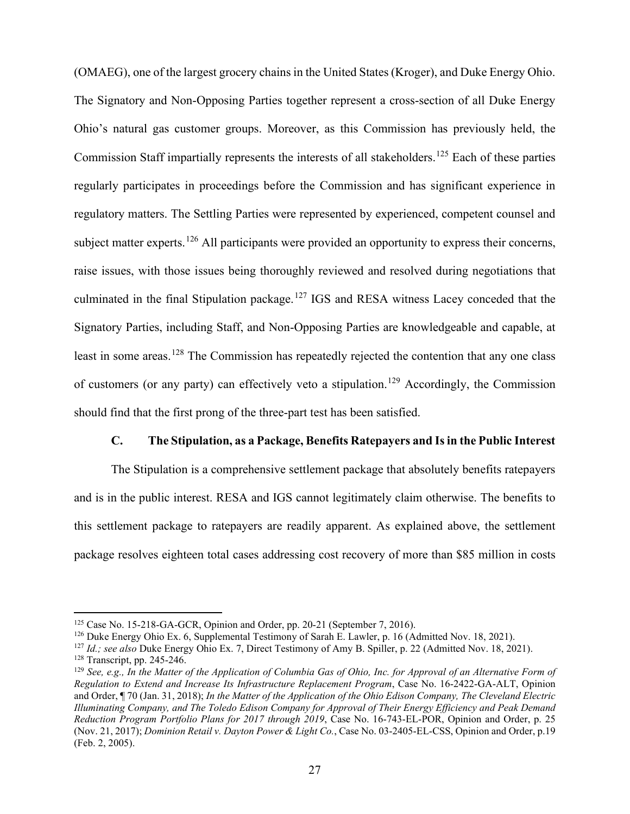(OMAEG), one of the largest grocery chains in the United States (Kroger), and Duke Energy Ohio. The Signatory and Non-Opposing Parties together represent a cross-section of all Duke Energy Ohio's natural gas customer groups. Moreover, as this Commission has previously held, the Commission Staff impartially represents the interests of all stakeholders.<sup>[125](#page-30-0)</sup> Each of these parties regularly participates in proceedings before the Commission and has significant experience in regulatory matters. The Settling Parties were represented by experienced, competent counsel and subject matter experts.<sup>[126](#page-30-1)</sup> All participants were provided an opportunity to express their concerns, raise issues, with those issues being thoroughly reviewed and resolved during negotiations that culminated in the final Stipulation package.<sup>[127](#page-30-2)</sup> IGS and RESA witness Lacey conceded that the Signatory Parties, including Staff, and Non-Opposing Parties are knowledgeable and capable, at least in some areas.<sup>[128](#page-30-3)</sup> The Commission has repeatedly rejected the contention that any one class of customers (or any party) can effectively veto a stipulation.<sup>[129](#page-30-4)</sup> Accordingly, the Commission should find that the first prong of the three-part test has been satisfied.

## <span id="page-29-0"></span>**C. The Stipulation, as a Package, Benefits Ratepayers and Is in the Public Interest**

The Stipulation is a comprehensive settlement package that absolutely benefits ratepayers and is in the public interest. RESA and IGS cannot legitimately claim otherwise. The benefits to this settlement package to ratepayers are readily apparent. As explained above, the settlement package resolves eighteen total cases addressing cost recovery of more than \$85 million in costs

 $125$  Case No. 15-218-GA-GCR, Opinion and Order, pp. 20-21 (September 7, 2016).

<sup>126</sup> Duke Energy Ohio Ex. 6, Supplemental Testimony of Sarah E. Lawler, p. 16 (Admitted Nov. 18, 2021).

<sup>127</sup> *Id.; see also* Duke Energy Ohio Ex. 7, Direct Testimony of Amy B. Spiller, p. 22 (Admitted Nov. 18, 2021).

<sup>128</sup> Transcript, pp. 245-246.

<span id="page-29-5"></span><span id="page-29-4"></span><span id="page-29-3"></span><span id="page-29-2"></span><span id="page-29-1"></span><sup>&</sup>lt;sup>129</sup> See, e.g., In the Matter of the Application of Columbia Gas of Ohio, Inc. for Approval of an Alternative Form of *Regulation to Extend and Increase Its Infrastructure Replacement Program*, Case No. 16-2422-GA-ALT, Opinion and Order, ¶ 70 (Jan. 31, 2018); *In the Matter of the Application of the Ohio Edison Company, The Cleveland Electric Illuminating Company, and The Toledo Edison Company for Approval of Their Energy Efficiency and Peak Demand Reduction Program Portfolio Plans for 2017 through 2019*, Case No. 16-743-EL-POR, Opinion and Order, p. 25 (Nov. 21, 2017); *Dominion Retail v. Dayton Power & Light Co.*, Case No. 03-2405-EL-CSS, Opinion and Order, p.19 (Feb. 2, 2005).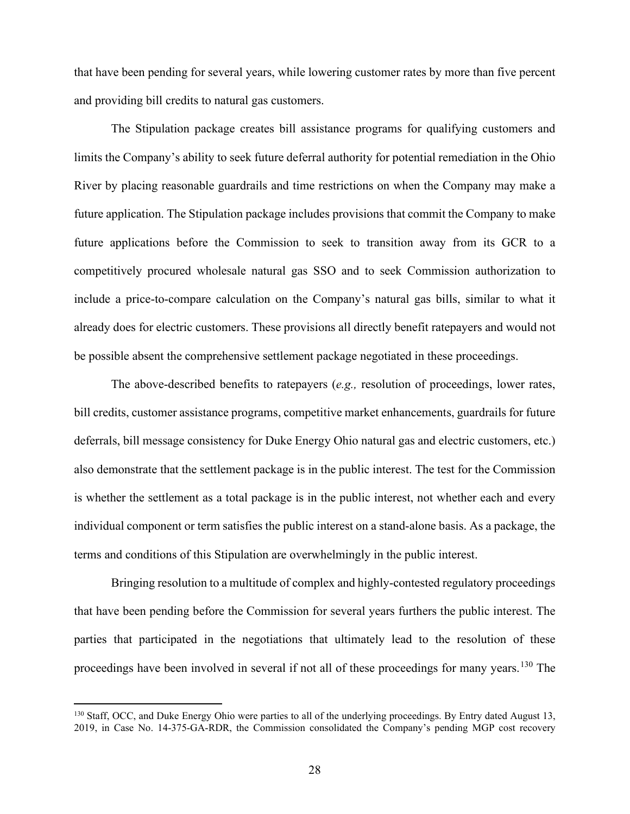that have been pending for several years, while lowering customer rates by more than five percent and providing bill credits to natural gas customers.

The Stipulation package creates bill assistance programs for qualifying customers and limits the Company's ability to seek future deferral authority for potential remediation in the Ohio River by placing reasonable guardrails and time restrictions on when the Company may make a future application. The Stipulation package includes provisions that commit the Company to make future applications before the Commission to seek to transition away from its GCR to a competitively procured wholesale natural gas SSO and to seek Commission authorization to include a price-to-compare calculation on the Company's natural gas bills, similar to what it already does for electric customers. These provisions all directly benefit ratepayers and would not be possible absent the comprehensive settlement package negotiated in these proceedings.

The above-described benefits to ratepayers (*e.g.,* resolution of proceedings, lower rates, bill credits, customer assistance programs, competitive market enhancements, guardrails for future deferrals, bill message consistency for Duke Energy Ohio natural gas and electric customers, etc.) also demonstrate that the settlement package is in the public interest. The test for the Commission is whether the settlement as a total package is in the public interest, not whether each and every individual component or term satisfies the public interest on a stand-alone basis. As a package, the terms and conditions of this Stipulation are overwhelmingly in the public interest.

<span id="page-30-2"></span><span id="page-30-1"></span><span id="page-30-0"></span>Bringing resolution to a multitude of complex and highly-contested regulatory proceedings that have been pending before the Commission for several years furthers the public interest. The parties that participated in the negotiations that ultimately lead to the resolution of these proceedings have been involved in several if not all of these proceedings for many years.<sup>[130](#page-31-0)</sup> The

<span id="page-30-4"></span><span id="page-30-3"></span><sup>&</sup>lt;sup>130</sup> Staff, OCC, and Duke Energy Ohio were parties to all of the underlying proceedings. By Entry dated August 13, 2019, in Case No. 14-375-GA-RDR, the Commission consolidated the Company's pending MGP cost recovery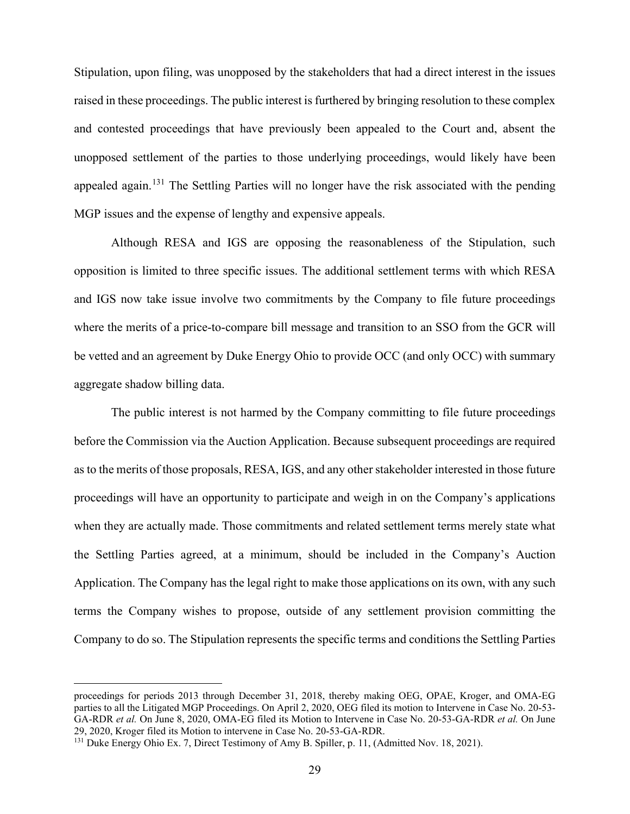Stipulation, upon filing, was unopposed by the stakeholders that had a direct interest in the issues raised in these proceedings. The public interest is furthered by bringing resolution to these complex and contested proceedings that have previously been appealed to the Court and, absent the unopposed settlement of the parties to those underlying proceedings, would likely have been appealed again.<sup>[131](#page-32-0)</sup> The Settling Parties will no longer have the risk associated with the pending MGP issues and the expense of lengthy and expensive appeals.

Although RESA and IGS are opposing the reasonableness of the Stipulation, such opposition is limited to three specific issues. The additional settlement terms with which RESA and IGS now take issue involve two commitments by the Company to file future proceedings where the merits of a price-to-compare bill message and transition to an SSO from the GCR will be vetted and an agreement by Duke Energy Ohio to provide OCC (and only OCC) with summary aggregate shadow billing data.

The public interest is not harmed by the Company committing to file future proceedings before the Commission via the Auction Application. Because subsequent proceedings are required as to the merits of those proposals, RESA, IGS, and any other stakeholder interested in those future proceedings will have an opportunity to participate and weigh in on the Company's applications when they are actually made. Those commitments and related settlement terms merely state what the Settling Parties agreed, at a minimum, should be included in the Company's Auction Application. The Company has the legal right to make those applications on its own, with any such terms the Company wishes to propose, outside of any settlement provision committing the Company to do so. The Stipulation represents the specific terms and conditions the Settling Parties

<span id="page-31-0"></span>proceedings for periods 2013 through December 31, 2018, thereby making OEG, OPAE, Kroger, and OMA-EG parties to all the Litigated MGP Proceedings. On April 2, 2020, OEG filed its motion to Intervene in Case No. 20-53- GA-RDR *et al.* On June 8, 2020, OMA-EG filed its Motion to Intervene in Case No. 20-53-GA-RDR *et al.* On June 29, 2020, Kroger filed its Motion to intervene in Case No. 20-53-GA-RDR.

<sup>131</sup> Duke Energy Ohio Ex. 7, Direct Testimony of Amy B. Spiller, p. 11, (Admitted Nov. 18, 2021).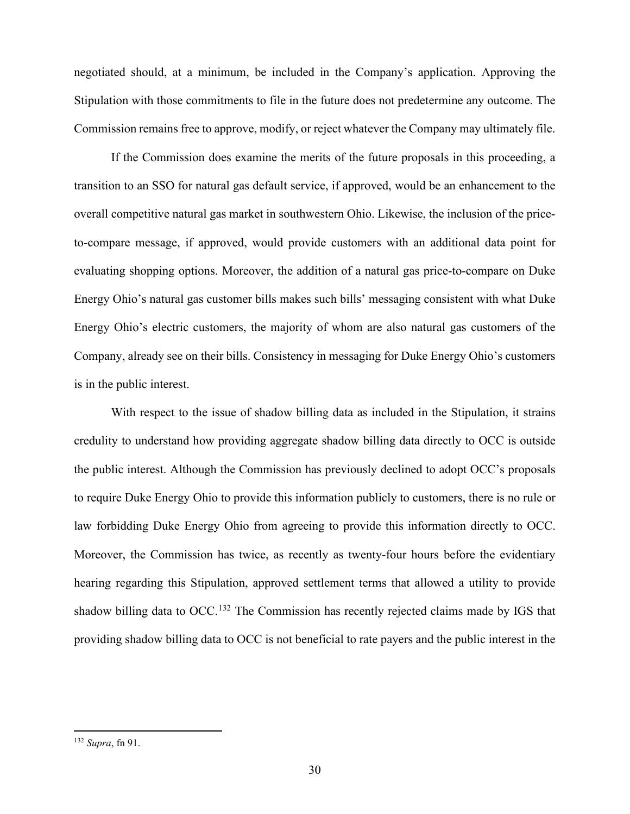negotiated should, at a minimum, be included in the Company's application. Approving the Stipulation with those commitments to file in the future does not predetermine any outcome. The Commission remains free to approve, modify, or reject whatever the Company may ultimately file.

If the Commission does examine the merits of the future proposals in this proceeding, a transition to an SSO for natural gas default service, if approved, would be an enhancement to the overall competitive natural gas market in southwestern Ohio. Likewise, the inclusion of the priceto-compare message, if approved, would provide customers with an additional data point for evaluating shopping options. Moreover, the addition of a natural gas price-to-compare on Duke Energy Ohio's natural gas customer bills makes such bills' messaging consistent with what Duke Energy Ohio's electric customers, the majority of whom are also natural gas customers of the Company, already see on their bills. Consistency in messaging for Duke Energy Ohio's customers is in the public interest.

With respect to the issue of shadow billing data as included in the Stipulation, it strains credulity to understand how providing aggregate shadow billing data directly to OCC is outside the public interest. Although the Commission has previously declined to adopt OCC's proposals to require Duke Energy Ohio to provide this information publicly to customers, there is no rule or law forbidding Duke Energy Ohio from agreeing to provide this information directly to OCC. Moreover, the Commission has twice, as recently as twenty-four hours before the evidentiary hearing regarding this Stipulation, approved settlement terms that allowed a utility to provide shadow billing data to OCC.<sup>[132](#page-33-1)</sup> The Commission has recently rejected claims made by IGS that providing shadow billing data to OCC is not beneficial to rate payers and the public interest in the

<span id="page-32-0"></span><sup>132</sup> *Supra*, fn 91.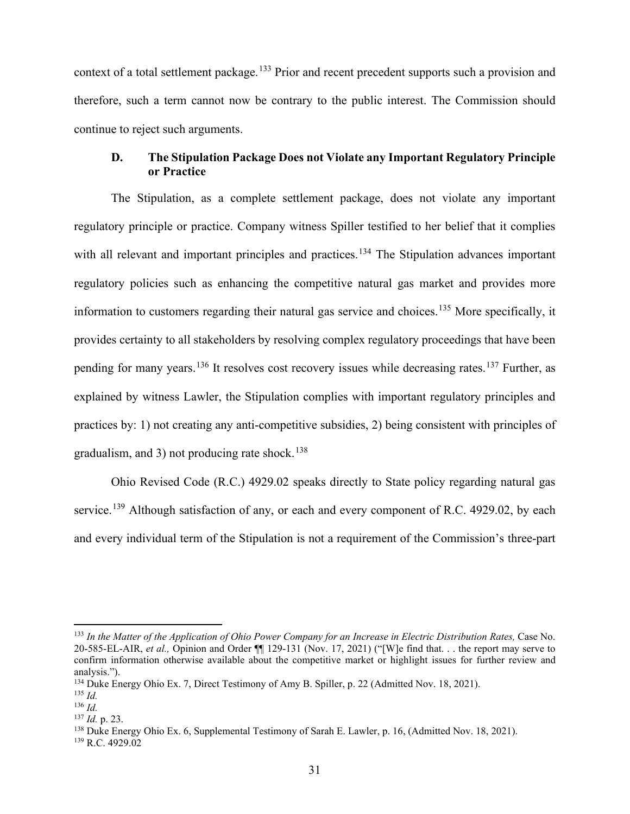context of a total settlement package.<sup>[133](#page-33-2)</sup> Prior and recent precedent supports such a provision and therefore, such a term cannot now be contrary to the public interest. The Commission should continue to reject such arguments.

## <span id="page-33-0"></span>**D. The Stipulation Package Does not Violate any Important Regulatory Principle or Practice**

The Stipulation, as a complete settlement package, does not violate any important regulatory principle or practice. Company witness Spiller testified to her belief that it complies with all relevant and important principles and practices.<sup>[134](#page-34-0)</sup> The Stipulation advances important regulatory policies such as enhancing the competitive natural gas market and provides more information to customers regarding their natural gas service and choices.<sup>[135](#page-34-1)</sup> More specifically, it provides certainty to all stakeholders by resolving complex regulatory proceedings that have been pending for many years.<sup>[136](#page-34-2)</sup> It resolves cost recovery issues while decreasing rates.<sup>[137](#page-34-3)</sup> Further, as explained by witness Lawler, the Stipulation complies with important regulatory principles and practices by: 1) not creating any anti-competitive subsidies, 2) being consistent with principles of gradualism, and 3) not producing rate shock.<sup>[138](#page-34-4)</sup>

Ohio Revised Code (R.C.) 4929.02 speaks directly to State policy regarding natural gas service.<sup>[139](#page-34-5)</sup> Although satisfaction of any, or each and every component of R.C. 4929.02, by each and every individual term of the Stipulation is not a requirement of the Commission's three-part

<sup>137</sup> *Id.* p. 23.

<sup>138</sup> Duke Energy Ohio Ex. 6, Supplemental Testimony of Sarah E. Lawler, p. 16, (Admitted Nov. 18, 2021).

<sup>133</sup> *In the Matter of the Application of Ohio Power Company for an Increase in Electric Distribution Rates,* Case No. 20-585-EL-AIR, *et al.,* Opinion and Order ¶¶ 129-131 (Nov. 17, 2021) ("[W]e find that. . . the report may serve to confirm information otherwise available about the competitive market or highlight issues for further review and analysis.").

<sup>&</sup>lt;sup>134</sup> Duke Energy Ohio Ex. 7, Direct Testimony of Amy B. Spiller, p. 22 (Admitted Nov. 18, 2021).

 $^{135}$  *Id.* 

<span id="page-33-2"></span><span id="page-33-1"></span><sup>136</sup> *Id.* 

 $139$  R.C. 4929.02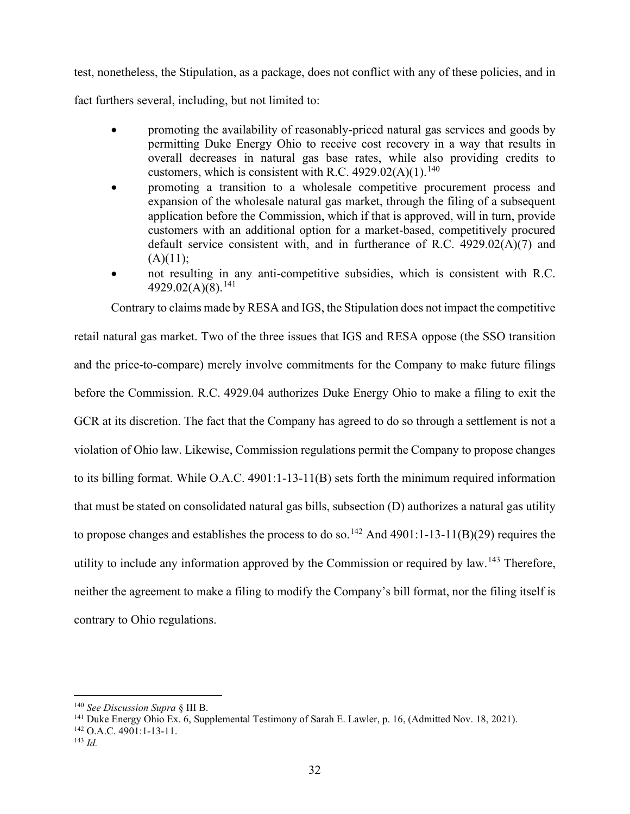test, nonetheless, the Stipulation, as a package, does not conflict with any of these policies, and in

fact furthers several, including, but not limited to:

- promoting the availability of reasonably-priced natural gas services and goods by permitting Duke Energy Ohio to receive cost recovery in a way that results in overall decreases in natural gas base rates, while also providing credits to customers, which is consistent with R.C.  $4929.02(A)(1)$ .<sup>[140](#page-34-6)</sup>
- promoting a transition to a wholesale competitive procurement process and expansion of the wholesale natural gas market, through the filing of a subsequent application before the Commission, which if that is approved, will in turn, provide customers with an additional option for a market-based, competitively procured default service consistent with, and in furtherance of R.C. 4929.02(A)(7) and  $(A)(11);$
- not resulting in any anti-competitive subsidies, which is consistent with R.C. 4929.02(A)(8).<sup>[141](#page-35-0)</sup>

Contrary to claims made by RESA and IGS, the Stipulation does not impact the competitive retail natural gas market. Two of the three issues that IGS and RESA oppose (the SSO transition and the price-to-compare) merely involve commitments for the Company to make future filings before the Commission. R.C. 4929.04 authorizes Duke Energy Ohio to make a filing to exit the GCR at its discretion. The fact that the Company has agreed to do so through a settlement is not a violation of Ohio law. Likewise, Commission regulations permit the Company to propose changes to its billing format. While O.A.C. 4901:1-13-11(B) sets forth the minimum required information that must be stated on consolidated natural gas bills, subsection (D) authorizes a natural gas utility to propose changes and establishes the process to do so.<sup>[142](#page-35-1)</sup> And 4901:1-13-11(B)(29) requires the utility to include any information approved by the Commission or required by  $\text{law}^{\,143}$  $\text{law}^{\,143}$  $\text{law}^{\,143}$  Therefore, neither the agreement to make a filing to modify the Company's bill format, nor the filing itself is contrary to Ohio regulations.

<span id="page-34-3"></span><span id="page-34-2"></span><span id="page-34-1"></span><span id="page-34-0"></span><sup>140</sup> *See Discussion Supra* § III B.

<span id="page-34-4"></span><sup>&</sup>lt;sup>141</sup> Duke Energy Ohio Ex. 6, Supplemental Testimony of Sarah E. Lawler, p. 16, (Admitted Nov. 18, 2021).

<span id="page-34-5"></span><sup>142</sup> O.A.C. 4901:1-13-11.

<span id="page-34-6"></span><sup>143</sup> *Id.*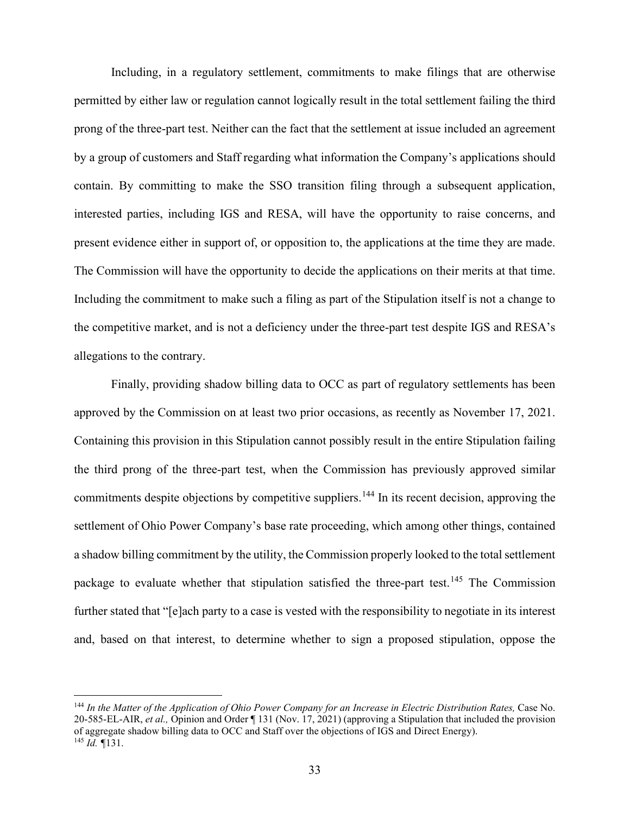Including, in a regulatory settlement, commitments to make filings that are otherwise permitted by either law or regulation cannot logically result in the total settlement failing the third prong of the three-part test. Neither can the fact that the settlement at issue included an agreement by a group of customers and Staff regarding what information the Company's applications should contain. By committing to make the SSO transition filing through a subsequent application, interested parties, including IGS and RESA, will have the opportunity to raise concerns, and present evidence either in support of, or opposition to, the applications at the time they are made. The Commission will have the opportunity to decide the applications on their merits at that time. Including the commitment to make such a filing as part of the Stipulation itself is not a change to the competitive market, and is not a deficiency under the three-part test despite IGS and RESA's allegations to the contrary.

Finally, providing shadow billing data to OCC as part of regulatory settlements has been approved by the Commission on at least two prior occasions, as recently as November 17, 2021. Containing this provision in this Stipulation cannot possibly result in the entire Stipulation failing the third prong of the three-part test, when the Commission has previously approved similar commitments despite objections by competitive suppliers.<sup>[144](#page-36-1)</sup> In its recent decision, approving the settlement of Ohio Power Company's base rate proceeding, which among other things, contained a shadow billing commitment by the utility, the Commission properly looked to the total settlement package to evaluate whether that stipulation satisfied the three-part test.<sup>[145](#page-36-2)</sup> The Commission further stated that "[e]ach party to a case is vested with the responsibility to negotiate in its interest and, based on that interest, to determine whether to sign a proposed stipulation, oppose the

<span id="page-35-2"></span><span id="page-35-1"></span><span id="page-35-0"></span><sup>&</sup>lt;sup>144</sup> In the Matter of the Application of Ohio Power Company for an Increase in Electric Distribution Rates, Case No. 20-585-EL-AIR, *et al.,* Opinion and Order ¶ 131 (Nov. 17, 2021) (approving a Stipulation that included the provision of aggregate shadow billing data to OCC and Staff over the objections of IGS and Direct Energy). <sup>145</sup> *Id. ¶*131.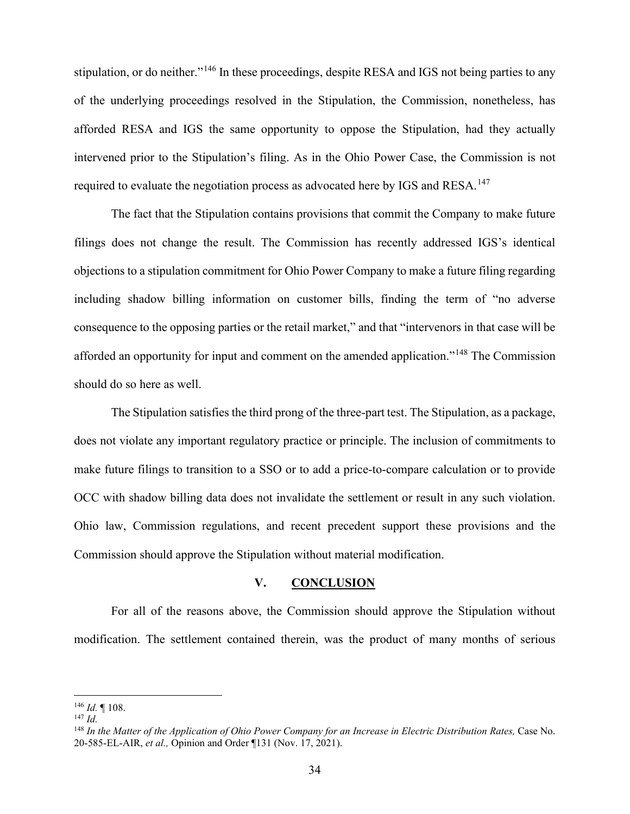stipulation, or do neither."<sup>[146](#page-36-3)</sup> In these proceedings, despite RESA and IGS not being parties to any of the underlying proceedings resolved in the Stipulation, the Commission, nonetheless, has afforded RESA and IGS the same opportunity to oppose the Stipulation, had they actually intervened prior to the Stipulation's filing. As in the Ohio Power Case, the Commission is not required to evaluate the negotiation process as advocated here by IGS and RESA.<sup>[147](#page-36-4)</sup>

The fact that the Stipulation contains provisions that commit the Company to make future filings does not change the result. The Commission has recently addressed IGS's identical objections to a stipulation commitment for Ohio Power Company to make a future filing regarding including shadow billing information on customer bills, finding the term of "no adverse consequence to the opposing parties or the retail market," and that "intervenors in that case will be afforded an opportunity for input and comment on the amended application."[148](#page-37-0) The Commission should do so here as well.

The Stipulation satisfies the third prong of the three-part test. The Stipulation, as a package, does not violate any important regulatory practice or principle. The inclusion of commitments to make future filings to transition to a SSO or to add a price-to-compare calculation or to provide OCC with shadow billing data does not invalidate the settlement or result in any such violation. Ohio law, Commission regulations, and recent precedent support these provisions and the Commission should approve the Stipulation without material modification.

## <span id="page-36-0"></span>**V. CONCLUSION**

For all of the reasons above, the Commission should approve the Stipulation without modification. The settlement contained therein, was the product of many months of serious

<span id="page-36-1"></span><sup>146</sup> *Id.* ¶ 108.

<span id="page-36-2"></span><sup>147</sup> *Id.*

<span id="page-36-4"></span><span id="page-36-3"></span><sup>&</sup>lt;sup>148</sup> In the Matter of the Application of Ohio Power Company for an Increase in Electric Distribution Rates, Case No. 20-585-EL-AIR, *et al.,* Opinion and Order ¶131 (Nov. 17, 2021).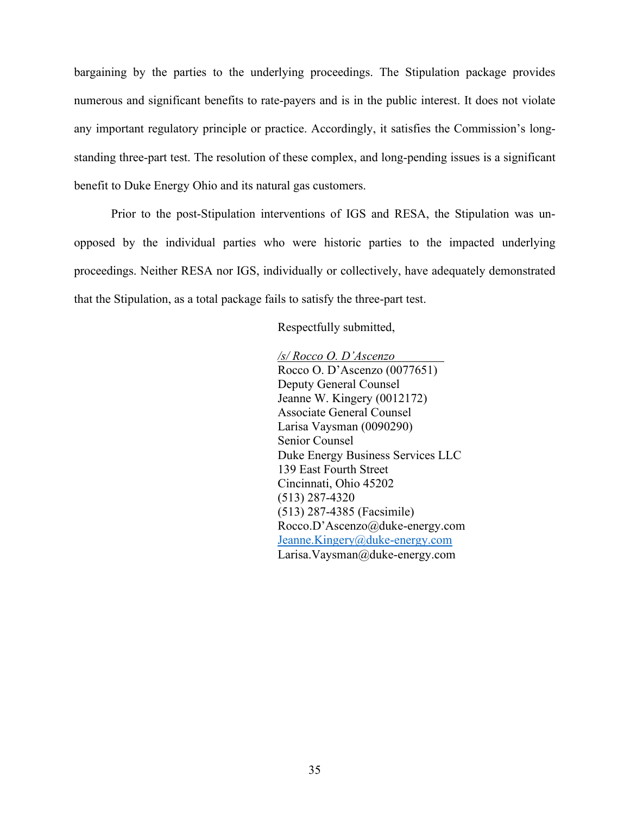bargaining by the parties to the underlying proceedings. The Stipulation package provides numerous and significant benefits to rate-payers and is in the public interest. It does not violate any important regulatory principle or practice. Accordingly, it satisfies the Commission's longstanding three-part test. The resolution of these complex, and long-pending issues is a significant benefit to Duke Energy Ohio and its natural gas customers.

Prior to the post-Stipulation interventions of IGS and RESA, the Stipulation was unopposed by the individual parties who were historic parties to the impacted underlying proceedings. Neither RESA nor IGS, individually or collectively, have adequately demonstrated that the Stipulation, as a total package fails to satisfy the three-part test.

Respectfully submitted,

<span id="page-37-0"></span>*/s/ Rocco O. D'Ascenzo* Rocco O. D'Ascenzo (0077651) Deputy General Counsel Jeanne W. Kingery (0012172) Associate General Counsel Larisa Vaysman (0090290) Senior Counsel Duke Energy Business Services LLC 139 East Fourth Street Cincinnati, Ohio 45202 (513) 287-4320 (513) 287-4385 (Facsimile) Rocco.D'Ascenzo@duke-energy.com [Jeanne.Kingery@duke-energy.com](mailto:Jeanne.Kingery@duke-energy.com) Larisa.Vaysman@duke-energy.com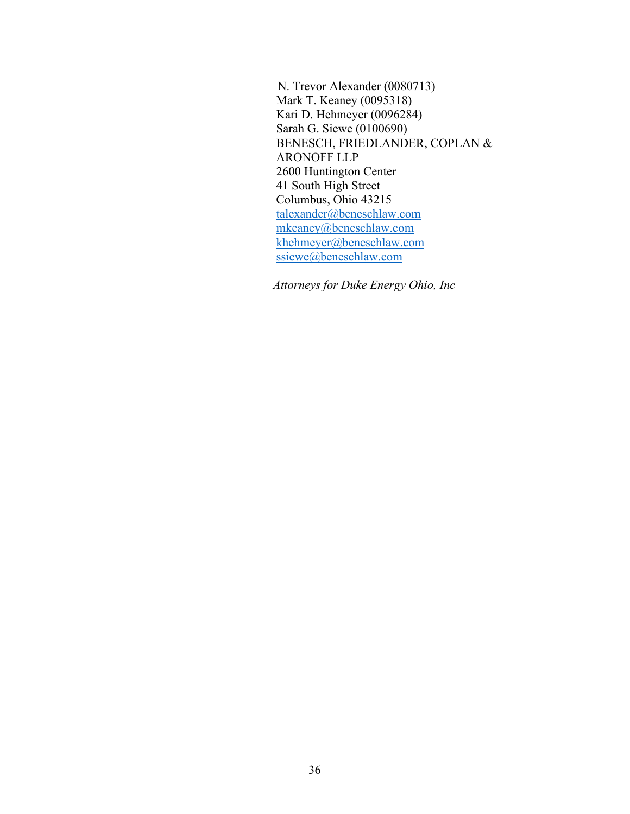N. Trevor Alexander (0080713) Mark T. Keaney (0095318) Kari D. Hehmeyer (0096284) Sarah G. Siewe (0100690) BENESCH, FRIEDLANDER, COPLAN & ARONOFF LLP 2600 Huntington Center 41 South High Street Columbus, Ohio 43215 [talexander@beneschlaw.com](mailto:talexander@beneschlaw.com) [mkeaney@beneschlaw.com](mailto:mkeaney@beneschlaw.com) [khehmeyer@beneschlaw.com](mailto:khehmeyer@beneschlaw.com) [ssiewe@beneschlaw.com](mailto:ssiewe@beneschlaw.com)

*Attorneys for Duke Energy Ohio, Inc*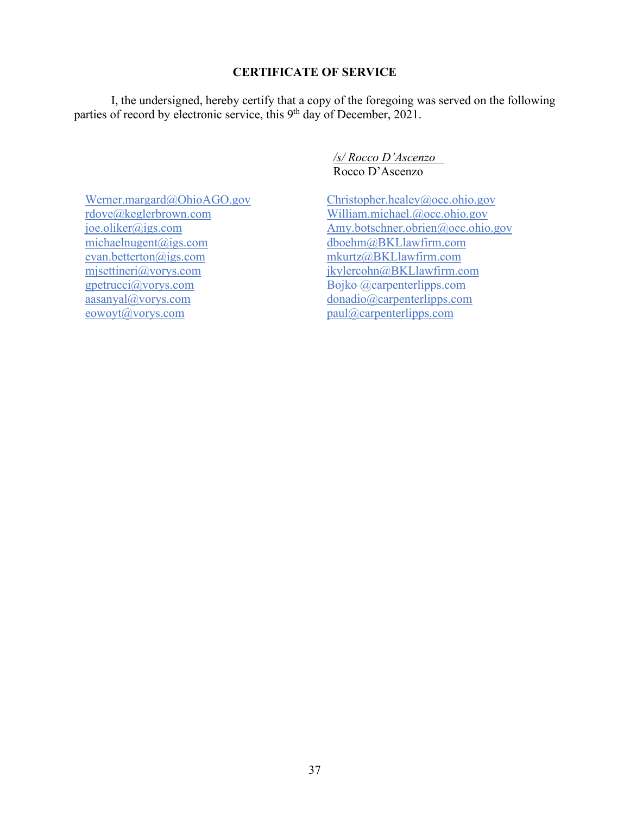## **CERTIFICATE OF SERVICE**

I, the undersigned, hereby certify that a copy of the foregoing was served on the following parties of record by electronic service, this 9<sup>th</sup> day of December, 2021.

> */s/ Rocco D'Ascenzo* Rocco D'Ascenzo

[Christopher.healey@occ.ohio.gov](mailto:Christopher.healey@occ.ohio.gov) [William.michael.@occ.ohio.gov](mailto:William.michael.@occ.ohio.gov) Amy.botschner.obrien@occ.ohio.gov [dboehm@BKLlawfirm.com](mailto:dboehm@BKLlawfirm.com) [mkurtz@BKLlawfirm.com](mailto:mkurtz@BKLlawfirm.com) [jkylercohn@BKLlawfirm.com](mailto:jkylercohn@BKLlawfirm.com) Bojko @carpenterlipps.com [donadio@carpenterlipps.com](mailto:donadio@carpenterlipps.com) [paul@carpenterlipps.com](mailto:paul@carpenterlipps.com)

[Werner.margard@OhioAGO.gov](mailto:Werner.margard@OhioAGO.gov) [rdove@keglerbrown.com](mailto:rdove@keglerbrown.com) [joe.oliker@igs.com](mailto:joe.oliker@igs.com) [michaelnugent@igs.com](mailto:michaelnugent@igs.com) [evan.betterton@igs.com](mailto:evan.betterton@igs.com) [mjsettineri@vorys.com](mailto:mjsettineri@vorys.com) gpetrucci@vorys.com [aasanyal@vorys.com](mailto:aasanyal@vorys.com) eowoyt@vorys.com